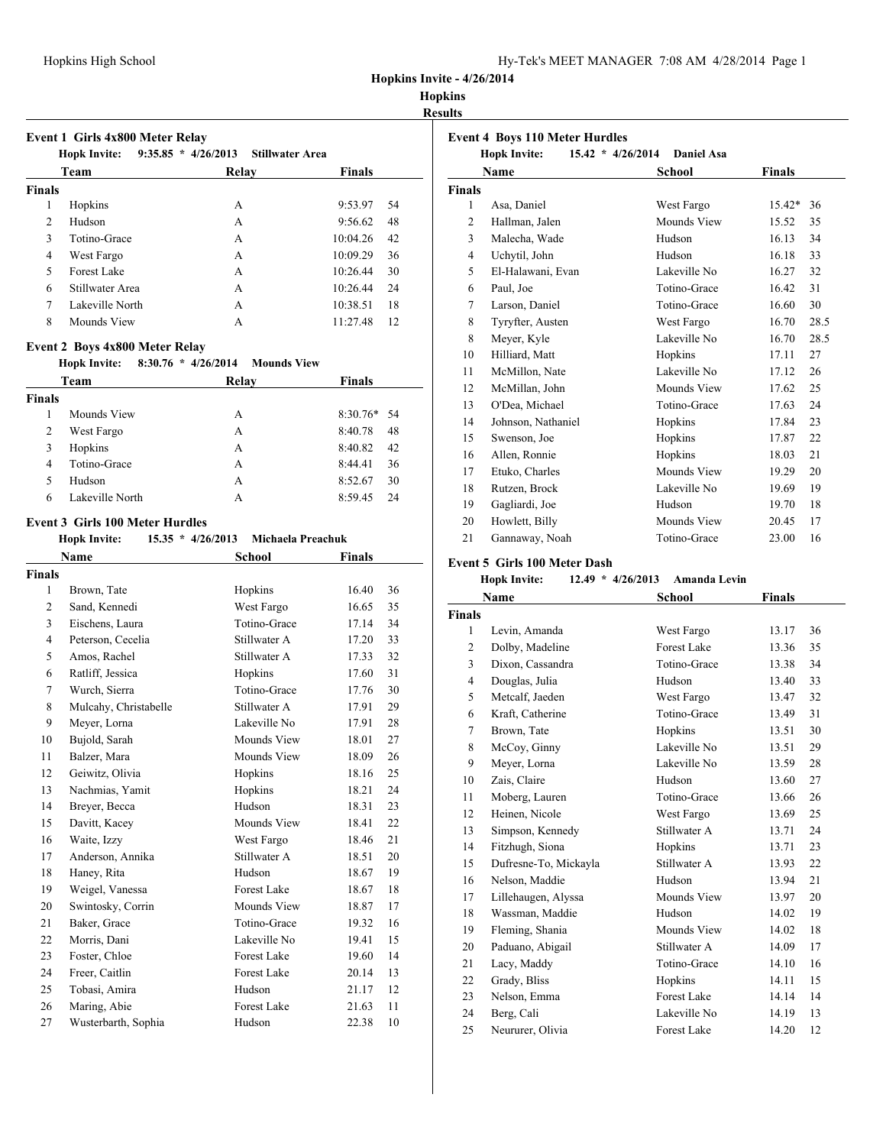### **Hopkins**

**Results**

|               | Event 1 Girls 4x800 Meter Relay<br>$9:35.85 * 4/26/2013$<br><b>Stillwater Area</b><br><b>Hopk Invite:</b> |       |                |  |  |  |  |
|---------------|-----------------------------------------------------------------------------------------------------------|-------|----------------|--|--|--|--|
|               | Team                                                                                                      | Relav | <b>Finals</b>  |  |  |  |  |
| <b>Finals</b> |                                                                                                           |       |                |  |  |  |  |
| 1             | Hopkins                                                                                                   | A     | 9:53.97<br>54  |  |  |  |  |
| 2             | Hudson                                                                                                    | A     | 9:56.62<br>48  |  |  |  |  |
| 3             | Totino-Grace                                                                                              | A     | 10:04.26<br>42 |  |  |  |  |
| 4             | West Fargo                                                                                                | A     | 10:09.29<br>36 |  |  |  |  |
| 5             | Forest Lake                                                                                               | A     | 30<br>10:26.44 |  |  |  |  |
| 6             | Stillwater Area                                                                                           | A     | 24<br>10:26.44 |  |  |  |  |
| 7             | Lakeville North                                                                                           | A     | 18<br>10:38.51 |  |  |  |  |
| 8             | Mounds View                                                                                               | A     | 12<br>11:27.48 |  |  |  |  |

#### **Event 2 Boys 4x800 Meter Relay**

#### **Hopk Invite: 8:30.76 \* 4/26/2014 Mounds View**

| Team          |                 | Relay | <b>Finals</b> |  |  |
|---------------|-----------------|-------|---------------|--|--|
| <b>Finals</b> |                 |       |               |  |  |
|               | Mounds View     | A     | $8:30.76*$ 54 |  |  |
| 2             | West Fargo      | А     | 8:40.78<br>48 |  |  |
| 3             | Hopkins         | A     | 8:40.82<br>42 |  |  |
| 4             | Totino-Grace    | А     | 8:44.41<br>36 |  |  |
| 5             | Hudson          | А     | 8:52.67<br>30 |  |  |
| 6             | Lakeville North | А     | 8:59.45<br>24 |  |  |

#### **Event 3 Girls 100 Meter Hurdles**

**Hopk Invite: 15.35 \* 4/26/2013 Michaela Preachuk**

| Name           |                       | School             | <b>Finals</b> |    |
|----------------|-----------------------|--------------------|---------------|----|
| <b>Finals</b>  |                       |                    |               |    |
| 1              | Brown, Tate           | Hopkins            | 16.40         | 36 |
| 2              | Sand, Kennedi         | West Fargo         | 16.65         | 35 |
| 3              | Eischens, Laura       | Totino-Grace       | 17.14         | 34 |
| $\overline{4}$ | Peterson, Cecelia     | Stillwater A       | 17.20         | 33 |
| 5              | Amos, Rachel          | Stillwater A       | 17.33         | 32 |
| 6              | Ratliff, Jessica      | Hopkins            | 17.60         | 31 |
| 7              | Wurch, Sierra         | Totino-Grace       | 17.76         | 30 |
| 8              | Mulcahy, Christabelle | Stillwater A       | 17.91         | 29 |
| 9              | Meyer, Lorna          | Lakeville No       | 17.91         | 28 |
| 10             | Bujold, Sarah         | Mounds View        | 18.01         | 27 |
| 11             | Balzer, Mara          | Mounds View        | 18.09         | 26 |
| 12             | Geiwitz, Olivia       | Hopkins            | 18.16         | 25 |
| 13             | Nachmias, Yamit       | Hopkins            | 18.21         | 24 |
| 14             | Breyer, Becca         | Hudson             | 18.31         | 23 |
| 15             | Davitt, Kacey         | Mounds View        | 18.41         | 22 |
| 16             | Waite, Izzy           | West Fargo         | 18.46         | 21 |
| 17             | Anderson, Annika      | Stillwater A       | 18.51         | 20 |
| 18             | Haney, Rita           | Hudson             | 18.67         | 19 |
| 19             | Weigel, Vanessa       | Forest Lake        | 18.67         | 18 |
| 20             | Swintosky, Corrin     | Mounds View        | 18.87         | 17 |
| 21             | Baker, Grace          | Totino-Grace       | 19.32         | 16 |
| 22             | Morris, Dani          | Lakeville No       | 19.41         | 15 |
| 23             | Foster, Chloe         | Forest Lake        | 19.60         | 14 |
| 24             | Freer, Caitlin        | <b>Forest Lake</b> | 20.14         | 13 |
| 25             | Tobasi, Amira         | Hudson             | 21.17         | 12 |
| 26             | Maring, Abie          | <b>Forest Lake</b> | 21.63         | 11 |
| 27             | Wusterbarth, Sophia   | Hudson             | 22.38         | 10 |
|                |                       |                    |               |    |

| <b>Event 4 Boys 110 Meter Hurdles</b> |                                                                                                  |              |               |  |  |  |
|---------------------------------------|--------------------------------------------------------------------------------------------------|--------------|---------------|--|--|--|
|                                       | 15.42 * 4/26/2014<br><b>Hopk Invite:</b><br><b>Daniel Asa</b><br><b>Name</b><br>Finals<br>School |              |               |  |  |  |
| <b>Finals</b>                         |                                                                                                  |              |               |  |  |  |
| 1                                     | Asa, Daniel                                                                                      | West Fargo   | 15.42*<br>36  |  |  |  |
| $\overline{c}$                        | Hallman, Jalen                                                                                   | Mounds View  | 35<br>15.52   |  |  |  |
| 3                                     | Malecha, Wade                                                                                    | Hudson       | 34<br>16.13   |  |  |  |
| $\overline{4}$                        | Uchytil, John                                                                                    | Hudson       | 33<br>16.18   |  |  |  |
| 5                                     | El-Halawani, Evan                                                                                | Lakeville No | 16.27<br>32   |  |  |  |
| 6                                     | Paul, Joe                                                                                        | Totino-Grace | 31<br>16.42   |  |  |  |
| 7                                     | Larson, Daniel                                                                                   | Totino-Grace | 30<br>16.60   |  |  |  |
| 8                                     | Tyryfter, Austen                                                                                 | West Fargo   | 28.5<br>16.70 |  |  |  |
| 8                                     | Meyer, Kyle                                                                                      | Lakeville No | 28.5<br>16.70 |  |  |  |
| 10                                    | Hilliard, Matt                                                                                   | Hopkins      | 27<br>17.11   |  |  |  |
| 11                                    | McMillon, Nate                                                                                   | Lakeville No | 17.12<br>26   |  |  |  |
| 12                                    | McMillan, John                                                                                   | Mounds View  | 25<br>17.62   |  |  |  |
| 13                                    | O'Dea, Michael                                                                                   | Totino-Grace | 17.63<br>24   |  |  |  |
| 14                                    | Johnson, Nathaniel                                                                               | Hopkins      | 23<br>17.84   |  |  |  |
| 15                                    | Swenson, Joe                                                                                     | Hopkins      | 17.87<br>22   |  |  |  |
| 16                                    | Allen, Ronnie                                                                                    | Hopkins      | 21<br>18.03   |  |  |  |
| 17                                    | Etuko, Charles                                                                                   | Mounds View  | 20<br>19.29   |  |  |  |
| 18                                    | Rutzen, Brock                                                                                    | Lakeville No | 19<br>19.69   |  |  |  |
| 19                                    | Gagliardi, Joe                                                                                   | Hudson       | 19.70<br>18   |  |  |  |
| 20                                    | Howlett, Billy                                                                                   | Mounds View  | 20.45<br>17   |  |  |  |
| 21                                    | Gannaway, Noah                                                                                   | Totino-Grace | 23.00<br>16   |  |  |  |

## **Event 5 Girls 100 Meter Dash**

### **Hopk Invite: 12.49 \* 4/26/2013 Amanda Levin**

| Name           |                       | School             | <b>Finals</b> |    |
|----------------|-----------------------|--------------------|---------------|----|
| <b>Finals</b>  |                       |                    |               |    |
| 1              | Levin, Amanda         | West Fargo         | 13.17         | 36 |
| $\overline{2}$ | Dolby, Madeline       | Forest Lake        | 13.36         | 35 |
| 3              | Dixon, Cassandra      | Totino-Grace       | 13.38         | 34 |
| $\overline{4}$ | Douglas, Julia        | Hudson             | 13.40         | 33 |
| 5              | Metcalf, Jaeden       | West Fargo         | 13.47         | 32 |
| 6              | Kraft, Catherine      | Totino-Grace       | 13.49         | 31 |
| 7              | Brown, Tate           | Hopkins            | 13.51         | 30 |
| 8              | McCoy, Ginny          | Lakeville No       | 13.51         | 29 |
| 9              | Meyer, Lorna          | Lakeville No       | 13.59         | 28 |
| 10             | Zais, Claire          | Hudson             | 13.60         | 27 |
| 11             | Moberg, Lauren        | Totino-Grace       | 13.66         | 26 |
| 12             | Heinen, Nicole        | West Fargo         | 13.69         | 25 |
| 13             | Simpson, Kennedy      | Stillwater A       | 13.71         | 24 |
| 14             | Fitzhugh, Siona       | Hopkins            | 13.71         | 23 |
| 15             | Dufresne-To, Mickayla | Stillwater A       | 13.93         | 22 |
| 16             | Nelson, Maddie        | Hudson             | 13.94         | 21 |
| 17             | Lillehaugen, Alyssa   | Mounds View        | 13.97         | 20 |
| 18             | Wassman, Maddie       | Hudson             | 14.02         | 19 |
| 19             | Fleming, Shania       | Mounds View        | 14.02         | 18 |
| 20             | Paduano, Abigail      | Stillwater A       | 14.09         | 17 |
| 21             | Lacy, Maddy           | Totino-Grace       | 14.10         | 16 |
| 22             | Grady, Bliss          | Hopkins            | 14.11         | 15 |
| 23             | Nelson, Emma          | Forest Lake        | 14.14         | 14 |
| 24             | Berg, Cali            | Lakeville No       | 14.19         | 13 |
| 25             | Neururer, Olivia      | <b>Forest Lake</b> | 14.20         | 12 |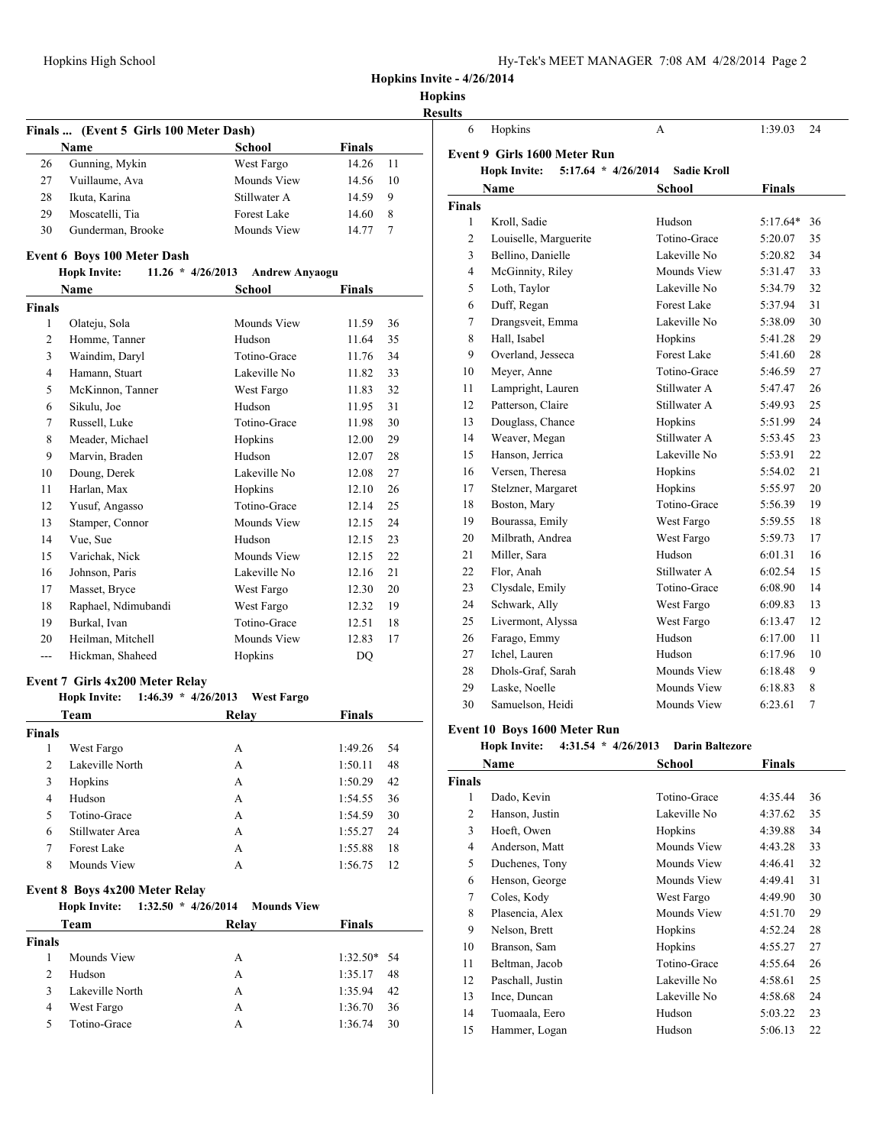| Hy-Tek's MEET MANAGER 7:08 AM 4/28/2014 Page 2 |  |  |  |
|------------------------------------------------|--|--|--|
|------------------------------------------------|--|--|--|

**Hopkins Invite - 4/26/2014**

## **Hopkins Results**

|               | Finals  (Event 5 Girls 100 Meter Dash)<br>Name                                  | School                | <b>Finals</b>      |          |
|---------------|---------------------------------------------------------------------------------|-----------------------|--------------------|----------|
| 26            | Gunning, Mykin                                                                  | West Fargo            | 14.26              | 11       |
| 27            | Vuillaume, Ava                                                                  | Mounds View           | 14.56              | 10       |
| 28            | Ikuta, Karina                                                                   | Stillwater A          | 14.59              | 9        |
| 29            | Moscatelli, Tia                                                                 | <b>Forest Lake</b>    | 14.60              | 8        |
| 30            | Gunderman, Brooke                                                               | Mounds View           | 14.77              | 7        |
|               | Event 6 Boys 100 Meter Dash                                                     |                       |                    |          |
|               | <b>Hopk Invite:</b><br>$11.26 * 4/26/2013$                                      | <b>Andrew Anyaogu</b> |                    |          |
|               | <b>Name</b>                                                                     | School                | Finals             |          |
| <b>Finals</b> |                                                                                 |                       |                    |          |
| 1             | Olateju, Sola                                                                   | Mounds View           | 11.59              | 36       |
| 2             | Homme, Tanner                                                                   | Hudson                | 11.64              | 35       |
| 3             | Waindim, Daryl                                                                  | Totino-Grace          | 11.76              | 34       |
| 4             | Hamann, Stuart                                                                  | Lakeville No          | 11.82              | 33       |
| 5             | McKinnon, Tanner                                                                | West Fargo            | 11.83              | 32       |
| 6             | Sikulu, Joe                                                                     | Hudson                | 11.95              | 31       |
| 7             | Russell, Luke                                                                   | Totino-Grace          | 11.98              | 30       |
| 8             | Meader, Michael                                                                 | Hopkins               | 12.00              | 29       |
| 9             | Marvin, Braden                                                                  | Hudson                | 12.07              | 28       |
| 10            | Doung, Derek                                                                    | Lakeville No          | 12.08              | 27       |
| 11            | Harlan, Max                                                                     | Hopkins               | 12.10              | 26       |
| 12            | Yusuf, Angasso                                                                  | Totino-Grace          | 12.14              | 25       |
| 13            | Stamper, Connor                                                                 | Mounds View           | 12.15              | 24       |
| 14            | Vue, Sue                                                                        | Hudson                | 12.15              | 23       |
| 15            | Varichak, Nick                                                                  | Mounds View           | 12.15              | 22       |
| 16            | Johnson, Paris                                                                  | Lakeville No          | 12.16              | 21       |
| 17            | Masset, Bryce                                                                   | West Fargo            | 12.30              | 20       |
| 18            | Raphael, Ndimubandi                                                             | West Fargo            | 12.32              | 19       |
| 19            | Burkal, Ivan                                                                    | Totino-Grace          | 12.51              | 18       |
| 20            | Heilman, Mitchell                                                               | Mounds View           | 12.83              | 17       |
| ---           | Hickman, Shaheed                                                                | Hopkins               | DQ                 |          |
|               |                                                                                 |                       |                    |          |
|               | Event 7 Girls 4x200 Meter Relay<br>$1:46.39 * 4/26/2013$<br><b>Hopk Invite:</b> | <b>West Fargo</b>     |                    |          |
|               | Team                                                                            | Relay                 | Finals             |          |
| <b>Finals</b> |                                                                                 |                       |                    |          |
|               | 1 West Fargo                                                                    | A                     | 1:49.26            | 54       |
| 2             | Lakeville North                                                                 | A                     | 1:50.11            | 48       |
| 3             | Hopkins                                                                         | A                     | 1:50.29            | 42       |
| 4             | Hudson                                                                          | A                     | 1:54.55            | 36       |
| 5             | Totino-Grace                                                                    | A                     | 1:54.59            | 30       |
| 6             | Stillwater Area                                                                 | A                     | 1:55.27            | 24       |
| 7             | <b>Forest Lake</b>                                                              | A                     | 1:55.88            | 18       |
| 8             | Mounds View                                                                     | A                     | 1:56.75            | 12       |
|               |                                                                                 |                       |                    |          |
|               | Event 8 Boys 4x200 Meter Relay<br><b>Hopk Invite:</b><br>$1:32.50 * 4/26/2014$  | <b>Mounds View</b>    |                    |          |
|               | Team                                                                            | Relay                 | <b>Finals</b>      |          |
|               |                                                                                 |                       |                    |          |
|               | Mounds View                                                                     | A                     | 1:32.50*           | 54       |
| <b>Finals</b> | Hudson                                                                          | A                     | 1:35.17            | 48       |
| 1             |                                                                                 |                       |                    |          |
| 2             |                                                                                 |                       |                    |          |
| 3             | Lakeville North                                                                 | A                     | 1:35.94            | 42       |
| 4<br>5        | West Fargo<br>Totino-Grace                                                      | A<br>A                | 1:36.70<br>1:36.74 | 36<br>30 |

| 6             | Hopkins                                        | A                  | 1:39.03       | 24             |
|---------------|------------------------------------------------|--------------------|---------------|----------------|
|               | Event 9 Girls 1600 Meter Run                   |                    |               |                |
|               | $5:17.64$ * $4/26/2014$<br><b>Hopk Invite:</b> | <b>Sadie Kroll</b> |               |                |
|               | Name                                           | <b>School</b>      | <b>Finals</b> |                |
| <b>Finals</b> |                                                |                    |               |                |
| 1             | Kroll, Sadie                                   | Hudson             | $5:17.64*$    | 36             |
| 2             | Louiselle, Marguerite                          | Totino-Grace       | 5:20.07       | 35             |
| 3             | Bellino, Danielle                              | Lakeville No       | 5:20.82       | 34             |
| 4             | McGinnity, Riley                               | Mounds View        | 5:31.47       | 33             |
| 5             | Loth, Taylor                                   | Lakeville No       | 5:34.79       | 32             |
| 6             | Duff, Regan                                    | Forest Lake        | 5:37.94       | 31             |
| 7             | Drangsveit, Emma                               | Lakeville No       | 5:38.09       | 30             |
| 8             | Hall, Isabel                                   | Hopkins            | 5:41.28       | 29             |
| 9             | Overland, Jesseca                              | Forest Lake        | 5:41.60       | 28             |
| 10            | Meyer, Anne                                    | Totino-Grace       | 5:46.59       | 27             |
| 11            | Lampright, Lauren                              | Stillwater A       | 5:47.47       | 26             |
| 12            | Patterson, Claire                              | Stillwater A       | 5:49.93       | 25             |
| 13            | Douglass, Chance                               | Hopkins            | 5:51.99       | 24             |
| 14            | Weaver, Megan                                  | Stillwater A       | 5:53.45       | 23             |
| 15            | Hanson, Jerrica                                | Lakeville No       | 5:53.91       | 22             |
| 16            | Versen, Theresa                                | Hopkins            | 5:54.02       | 21             |
| 17            | Stelzner, Margaret                             | Hopkins            | 5:55.97       | 20             |
| 18            | Boston, Mary                                   | Totino-Grace       | 5:56.39       | 19             |
| 19            | Bourassa, Emily                                | West Fargo         | 5:59.55       | 18             |
| 20            | Milbrath, Andrea                               | West Fargo         | 5:59.73       | 17             |
| 21            | Miller, Sara                                   | Hudson             | 6:01.31       | 16             |
| 22            | Flor, Anah                                     | Stillwater A       | 6:02.54       | 15             |
| 23            | Clysdale, Emily                                | Totino-Grace       | 6:08.90       | 14             |
| 24            | Schwark, Ally                                  | West Fargo         | 6:09.83       | 13             |
| 25            | Livermont, Alyssa                              | West Fargo         | 6:13.47       | 12             |
| 26            | Farago, Emmy                                   | Hudson             | 6:17.00       | 11             |
| 27            | Ichel, Lauren                                  | Hudson             | 6:17.96       | 10             |
| 28            | Dhols-Graf, Sarah                              | Mounds View        | 6:18.48       | 9              |
| 29            | Laske, Noelle                                  | Mounds View        | 6:18.83       | 8              |
| 30            | Samuelson, Heidi                               | Mounds View        | 6:23.61       | $\overline{7}$ |
|               |                                                |                    |               |                |

## **Event 10 Boys 1600 Meter Run**

## **Hopk Invite: 4:31.54 \* 4/26/2013 Darin Baltezore**

| Name           |                  | <b>School</b> | Finals  |    |
|----------------|------------------|---------------|---------|----|
| Finals         |                  |               |         |    |
| 1              | Dado, Kevin      | Totino-Grace  | 4:35.44 | 36 |
| 2              | Hanson, Justin   | Lakeville No  | 4:37.62 | 35 |
| 3              | Hoeft, Owen      | Hopkins       | 4:39.88 | 34 |
| $\overline{4}$ | Anderson, Matt   | Mounds View   | 4:43.28 | 33 |
| 5              | Duchenes, Tony   | Mounds View   | 4:46.41 | 32 |
| 6              | Henson, George   | Mounds View   | 4:49.41 | 31 |
| 7              | Coles, Kody      | West Fargo    | 4:49.90 | 30 |
| 8              | Plasencia, Alex  | Mounds View   | 4:51.70 | 29 |
| 9              | Nelson, Brett    | Hopkins       | 4:52.24 | 28 |
| 10             | Branson, Sam     | Hopkins       | 4:55.27 | 27 |
| 11             | Beltman, Jacob   | Totino-Grace  | 4:55.64 | 26 |
| 12             | Paschall, Justin | Lakeville No  | 4:58.61 | 25 |
| 13             | Ince, Duncan     | Lakeville No  | 4:58.68 | 24 |
| 14             | Tuomaala, Eero   | Hudson        | 5:03.22 | 23 |
| 15             | Hammer, Logan    | Hudson        | 5:06.13 | 22 |
|                |                  |               |         |    |
|                |                  |               |         |    |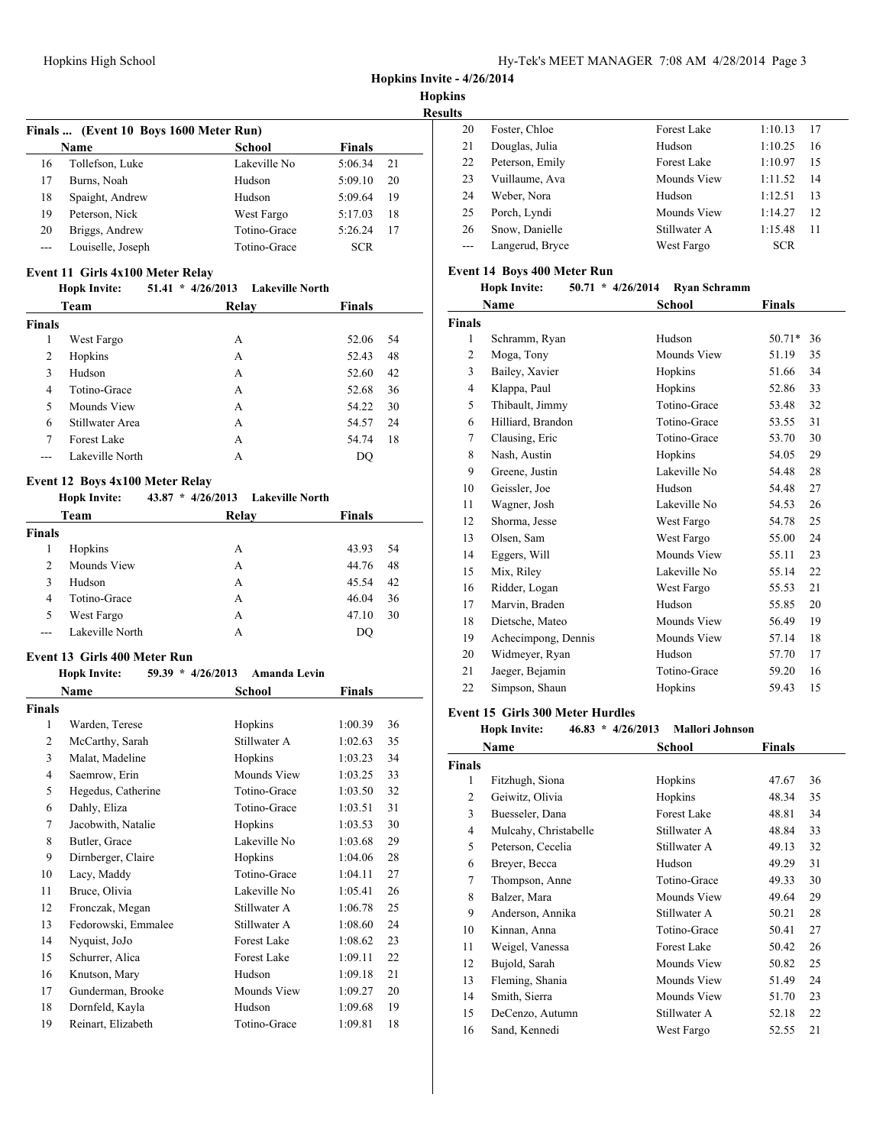**Hopkins Invite - 4/26/2014**

**Hopkins**

**Result Finals ... (Event 10 Boys 1600 Meter Run) Name School Finals** 16 Tollefson, Luke Lakeville No 5:06.34 21 Burns, Noah Hudson 5:09.10 20 Spaight, Andrew Hudson 5:09.64 19 Peterson, Nick West Fargo 5:17.03 18 Briggs, Andrew Totino-Grace 5:26.24 17 --- Louiselle, Joseph Totino-Grace SCR

# **Event 11 Girls 4x100 Meter Relay**<br>**Hopk Invite:** 51.41 \* 4/26/

### **Hopk Invite: 51.41 \* 4/26/2013 Lakeville North**

|               | Team               | Relay | <b>Finals</b> |
|---------------|--------------------|-------|---------------|
| <b>Finals</b> |                    |       |               |
| 1             | West Fargo         | А     | 52.06<br>54   |
| 2             | Hopkins            | A     | 52.43<br>48   |
| 3             | Hudson             | A     | 52.60<br>42   |
| 4             | Totino-Grace       | A     | 36<br>52.68   |
| 5             | Mounds View        | A     | 30<br>54.22   |
| 6             | Stillwater Area    | А     | 24<br>54.57   |
| 7             | <b>Forest Lake</b> | A     | 18<br>54.74   |
|               | Lakeville North    | А     | DO            |

#### **Event 12 Boys 4x100 Meter Relay**

**Hopk Invite: 43.87 \* 4/26/2013 Lakeville North**

| Team           |                 | Relay | <b>Finals</b> |
|----------------|-----------------|-------|---------------|
| <b>Finals</b>  |                 |       |               |
|                | Hopkins         | А     | 43.93<br>54   |
| $\overline{c}$ | Mounds View     | А     | 44.76<br>48   |
| 3              | Hudson          | А     | 45.54<br>42   |
| 4              | Totino-Grace    | А     | 46.04<br>36   |
| 5              | West Fargo      | А     | 30<br>47.10   |
|                | Lakeville North | А     | DO            |

#### **Event 13 Girls 400 Meter Run**

#### **Hopk Invite: 59.39 \* 4/26/2013 Amanda Levin**

|                | Name                | School             | Finals  |    |
|----------------|---------------------|--------------------|---------|----|
| Finals         |                     |                    |         |    |
| 1              | Warden, Terese      | Hopkins            | 1:00.39 | 36 |
| $\overline{2}$ | McCarthy, Sarah     | Stillwater A       | 1:02.63 | 35 |
| 3              | Malat, Madeline     | Hopkins            | 1:03.23 | 34 |
| 4              | Saemrow, Erin       | Mounds View        | 1:03.25 | 33 |
| 5              | Hegedus, Catherine  | Totino-Grace       | 1:03.50 | 32 |
| 6              | Dahly, Eliza        | Totino-Grace       | 1:03.51 | 31 |
| 7              | Jacobwith, Natalie  | Hopkins            | 1:03.53 | 30 |
| 8              | Butler, Grace       | Lakeville No       | 1:03.68 | 29 |
| 9              | Dirnberger, Claire  | Hopkins            | 1:04.06 | 28 |
| 10             | Lacy, Maddy         | Totino-Grace       | 1:04.11 | 27 |
| 11             | Bruce, Olivia       | Lakeville No       | 1:05.41 | 26 |
| 12             | Fronczak, Megan     | Stillwater A       | 1:06.78 | 25 |
| 13             | Fedorowski, Emmalee | Stillwater A       | 1:08.60 | 24 |
| 14             | Nyquist, JoJo       | <b>Forest Lake</b> | 1:08.62 | 23 |
| 15             | Schurrer, Alica     | <b>Forest Lake</b> | 1:09.11 | 22 |
| 16             | Knutson, Mary       | Hudson             | 1:09.18 | 21 |
| 17             | Gunderman, Brooke   | Mounds View        | 1:09.27 | 20 |
| 18             | Dornfeld, Kayla     | Hudson             | 1:09.68 | 19 |
| 19             | Reinart, Elizabeth  | Totino-Grace       | 1:09.81 | 18 |

| нs |                 |                    |            |    |
|----|-----------------|--------------------|------------|----|
| 20 | Foster, Chloe   | <b>Forest Lake</b> | 1:10.13    | 17 |
| 21 | Douglas, Julia  | Hudson             | 1:10.25    | 16 |
| 22 | Peterson, Emily | <b>Forest Lake</b> | 1:10.97    | 15 |
| 23 | Vuillaume, Ava  | Mounds View        | 1:11.52    | 14 |
| 24 | Weber, Nora     | Hudson             | 1:12.51    | 13 |
| 25 | Porch, Lyndi    | Mounds View        | 1:14.27    | 12 |
| 26 | Snow, Danielle  | Stillwater A       | 1:15.48    | 11 |
|    | Langerud, Bryce | West Fargo         | <b>SCR</b> |    |

#### **Event 14 Boys 400 Meter Run**

| <b>Hopk Invite:</b> |  | $50.71 * 4/26/2014$ | Ryan Schramm |
|---------------------|--|---------------------|--------------|
|---------------------|--|---------------------|--------------|

|                     | School                | Finals         |  |
|---------------------|-----------------------|----------------|--|
|                     |                       |                |  |
| Schramm, Ryan       | Hudson                | $50.71*$<br>36 |  |
| Moga, Tony          | Mounds View           | 51.19<br>35    |  |
| Bailey, Xavier      | Hopkins               | 51.66<br>34    |  |
| Klappa, Paul        | Hopkins               | 33<br>52.86    |  |
| Thibault, Jimmy     | Totino-Grace          | 32<br>53.48    |  |
| Hilliard, Brandon   | Totino-Grace          | 31<br>53.55    |  |
| Clausing, Eric      | Totino-Grace          | 30<br>53.70    |  |
| Nash, Austin        | Hopkins               | 54.05<br>29    |  |
| Greene, Justin      | Lakeville No          | 28<br>54.48    |  |
| Geissler, Joe       | Hudson                | 54.48<br>27    |  |
| Wagner, Josh        | Lakeville No          | 26<br>54.53    |  |
| Shorma, Jesse       | West Fargo            | 25<br>54.78    |  |
| Olsen, Sam          | West Fargo            | 24<br>55.00    |  |
| Eggers, Will        | Mounds View           | 23<br>55.11    |  |
| Mix, Riley          | Lakeville No          | 22<br>55.14    |  |
| Ridder, Logan       | West Fargo            | 21<br>55.53    |  |
| Marvin, Braden      | Hudson                | 55.85<br>20    |  |
| Dietsche, Mateo     | Mounds View           | 19<br>56.49    |  |
| Achecimpong, Dennis | Mounds View           | 57.14<br>18    |  |
| Widmeyer, Ryan      | Hudson                | 17<br>57.70    |  |
| Jaeger, Bejamin     | Totino-Grace          | 16<br>59.20    |  |
| Simpson, Shaun      | Hopkins               | 59.43<br>15    |  |
|                     | Name<br><b>Finals</b> |                |  |

#### **Event 15 Girls 300 Meter Hurdles**

|               | Name                  | School             | Finals |    |
|---------------|-----------------------|--------------------|--------|----|
| <b>Finals</b> |                       |                    |        |    |
| 1             | Fitzhugh, Siona       | Hopkins            | 47.67  | 36 |
| 2             | Geiwitz, Olivia       | Hopkins            | 48.34  | 35 |
| 3             | Buesseler, Dana       | <b>Forest Lake</b> | 48.81  | 34 |
| 4             | Mulcahy, Christabelle | Stillwater A       | 48.84  | 33 |
| 5             | Peterson, Cecelia     | Stillwater A       | 49.13  | 32 |
| 6             | Breyer, Becca         | Hudson             | 49.29  | 31 |
| 7             | Thompson, Anne        | Totino-Grace       | 49.33  | 30 |
| 8             | Balzer, Mara          | Mounds View        | 49.64  | 29 |
| 9             | Anderson, Annika      | Stillwater A       | 50.21  | 28 |
| 10            | Kinnan, Anna          | Totino-Grace       | 50.41  | 27 |
| 11            | Weigel, Vanessa       | <b>Forest Lake</b> | 50.42  | 26 |
| 12            | Bujold, Sarah         | Mounds View        | 50.82  | 25 |
| 13            | Fleming, Shania       | Mounds View        | 51.49  | 24 |
| 14            | Smith, Sierra         | Mounds View        | 51.70  | 23 |
| 15            | DeCenzo, Autumn       | Stillwater A       | 52.18  | 22 |
| 16            | Sand, Kennedi         | West Fargo         | 52.55  | 21 |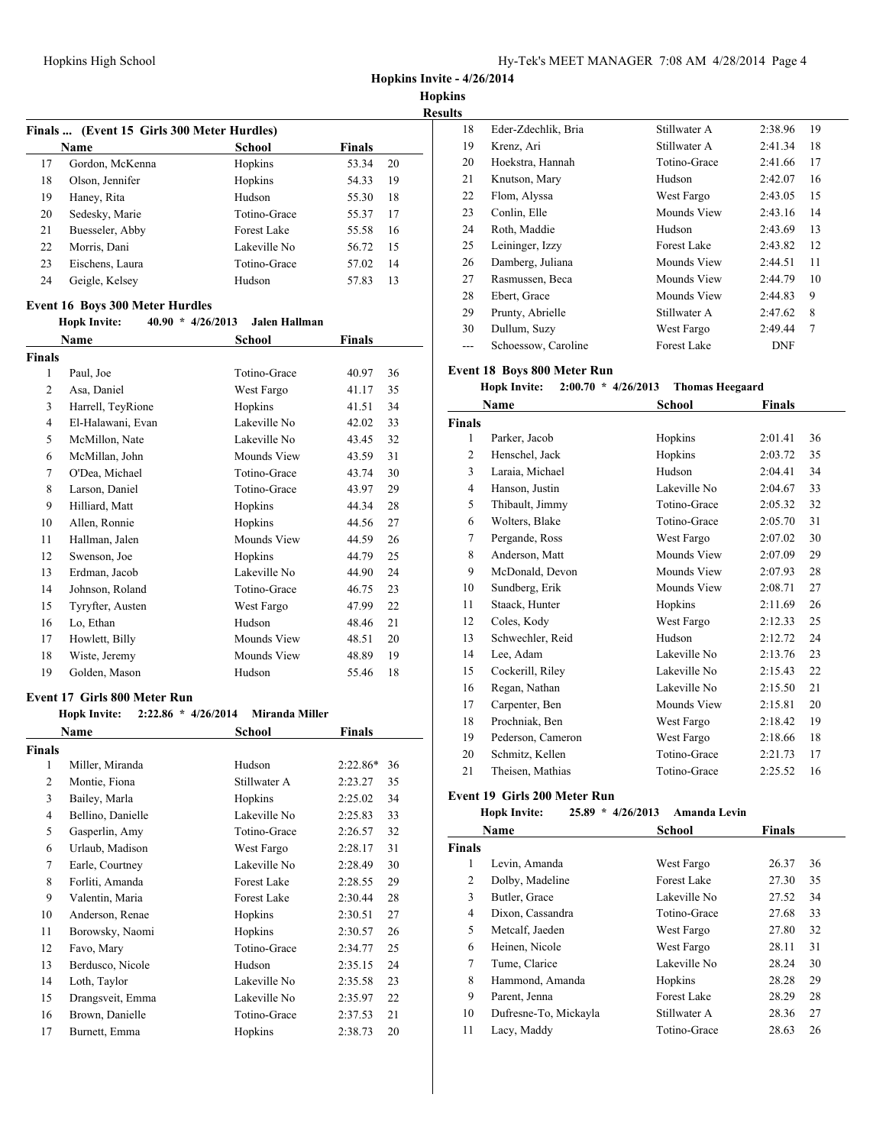**Hopkins Invite - 4/26/2014**

**Hopkins**

**Results Finals ... (Event 15 Girls 300 Meter Hurdles) Name School Finals** 17 Gordon, McKenna Hopkins 53.34 20 18 Olson, Jennifer Hopkins 54.33 19 19 Haney, Rita Hudson 55.30 18 Sedesky, Marie Totino-Grace 55.37 17 21 Buesseler, Abby Forest Lake 55.58 16 22 Morris, Dani Lakeville No 56.72 15 Eischens, Laura Totino-Grace 57.02 14 Geigle, Kelsey Hudson 57.83 13

#### **Event 16 Boys 300 Meter Hurdles**

#### **Hopk Invite: 40.90 \* 4/26/2013 Jalen Hallman**

|                | Name              | School       | Finals |    |
|----------------|-------------------|--------------|--------|----|
| <b>Finals</b>  |                   |              |        |    |
| 1              | Paul, Joe         | Totino-Grace | 40.97  | 36 |
| $\overline{2}$ | Asa, Daniel       | West Fargo   | 41.17  | 35 |
| 3              | Harrell, TeyRione | Hopkins      | 41.51  | 34 |
| 4              | El-Halawani, Evan | Lakeville No | 42.02  | 33 |
| 5              | McMillon, Nate    | Lakeville No | 43.45  | 32 |
| 6              | McMillan, John    | Mounds View  | 43.59  | 31 |
| 7              | O'Dea, Michael    | Totino-Grace | 43.74  | 30 |
| 8              | Larson, Daniel    | Totino-Grace | 43.97  | 29 |
| 9              | Hilliard, Matt    | Hopkins      | 44.34  | 28 |
| 10             | Allen, Ronnie     | Hopkins      | 44.56  | 27 |
| 11             | Hallman, Jalen    | Mounds View  | 44.59  | 26 |
| 12             | Swenson, Joe      | Hopkins      | 44.79  | 25 |
| 13             | Erdman, Jacob     | Lakeville No | 44.90  | 24 |
| 14             | Johnson, Roland   | Totino-Grace | 46.75  | 23 |
| 15             | Tyryfter, Austen  | West Fargo   | 47.99  | 22 |
| 16             | Lo, Ethan         | Hudson       | 48.46  | 21 |
| 17             | Howlett, Billy    | Mounds View  | 48.51  | 20 |
| 18             | Wiste, Jeremy     | Mounds View  | 48.89  | 19 |
| 19             | Golden, Mason     | Hudson       | 55.46  | 18 |

#### **Event 17 Girls 800 Meter Run**

| Hopk Invite:      |                    |                       |                       |
|-------------------|--------------------|-----------------------|-----------------------|
| Name              | School             | Finals                |                       |
| <b>Finals</b>     |                    |                       |                       |
| Miller, Miranda   | Hudson             | $2:22.86*$            | 36                    |
| Montie, Fiona     | Stillwater A       | 2:23.27               | 35                    |
| Bailey, Marla     | Hopkins            | 2:25.02               | 34                    |
| Bellino, Danielle | Lakeville No       | 2:25.83               | 33                    |
| Gasperlin, Amy    | Totino-Grace       | 2:26.57               | 32                    |
| Urlaub, Madison   | West Fargo         | 2:28.17               | 31                    |
| Earle, Courtney   | Lakeville No       | 2:28.49               | 30                    |
| Forliti, Amanda   | Forest Lake        | 2:28.55               | 29                    |
| Valentin, Maria   | <b>Forest Lake</b> | 2:30.44               | 28                    |
| Anderson, Renae   | Hopkins            | 2:30.51               | 27                    |
| Borowsky, Naomi   | Hopkins            | 2:30.57               | 26                    |
| Favo, Mary        | Totino-Grace       | 2:34.77               | 25                    |
| Berdusco, Nicole  | Hudson             | 2:35.15               | 24                    |
| Loth, Taylor      | Lakeville No       | 2:35.58               | 23                    |
| Drangsveit, Emma  | Lakeville No       | 2:35.97               | 22                    |
| Brown, Danielle   | Totino-Grace       | 2:37.53               | 21                    |
| Burnett, Emma     | Hopkins            | 2:38.73               | 20                    |
|                   |                    | $2:22.86 * 4/26/2014$ | <b>Miranda Miller</b> |

| IS.   |                     |              |            |                |
|-------|---------------------|--------------|------------|----------------|
| 18    | Eder-Zdechlik, Bria | Stillwater A | 2:38.96    | 19             |
| 19    | Krenz, Ari          | Stillwater A | 2:41.34    | 18             |
| 20    | Hoekstra, Hannah    | Totino-Grace | 2:41.66    | 17             |
| 21    | Knutson, Mary       | Hudson       | 2:42.07    | 16             |
| 22    | Flom, Alyssa        | West Fargo   | 2:43.05    | 15             |
| 23    | Conlin, Elle        | Mounds View  | 2:43.16    | 14             |
| 24    | Roth, Maddie        | Hudson       | 2:43.69    | 13             |
| 25    | Leininger, Izzy     | Forest Lake  | 2:43.82    | 12             |
| 26    | Damberg, Juliana    | Mounds View  | 2:44.51    | 11             |
| 27    | Rasmussen, Beca     | Mounds View  | 2:44.79    | 10             |
| 28    | Ebert, Grace        | Mounds View  | 2:44.83    | 9              |
| 29    | Prunty, Abrielle    | Stillwater A | 2:47.62    | 8              |
| 30    | Dullum, Suzy        | West Fargo   | 2:49.44    | $\overline{7}$ |
| $---$ | Schoessow, Caroline | Forest Lake  | <b>DNF</b> |                |
|       |                     |              |            |                |

#### **Event 18 Boys 800 Meter Run**

#### **Hopk Invite: 2:00.70 \* 4/26/2013 Thomas Heegaard**

|               | Name              | School       | Finals  |    |
|---------------|-------------------|--------------|---------|----|
| <b>Finals</b> |                   |              |         |    |
| 1             | Parker, Jacob     | Hopkins      | 2:01.41 | 36 |
| 2             | Henschel, Jack    | Hopkins      | 2:03.72 | 35 |
| 3             | Laraia, Michael   | Hudson       | 2:04.41 | 34 |
| 4             | Hanson, Justin    | Lakeville No | 2:04.67 | 33 |
| 5             | Thibault, Jimmy   | Totino-Grace | 2:05.32 | 32 |
| 6             | Wolters, Blake    | Totino-Grace | 2:05.70 | 31 |
| 7             | Pergande, Ross    | West Fargo   | 2:07.02 | 30 |
| 8             | Anderson, Matt    | Mounds View  | 2:07.09 | 29 |
| 9             | McDonald, Devon   | Mounds View  | 2:07.93 | 28 |
| 10            | Sundberg, Erik    | Mounds View  | 2:08.71 | 27 |
| 11            | Staack, Hunter    | Hopkins      | 2:11.69 | 26 |
| 12            | Coles, Kody       | West Fargo   | 2:12.33 | 25 |
| 13            | Schwechler, Reid  | Hudson       | 2:12.72 | 24 |
| 14            | Lee, Adam         | Lakeville No | 2:13.76 | 23 |
| 15            | Cockerill, Riley  | Lakeville No | 2:15.43 | 22 |
| 16            | Regan, Nathan     | Lakeville No | 2:15.50 | 21 |
| 17            | Carpenter, Ben    | Mounds View  | 2:15.81 | 20 |
| 18            | Prochniak, Ben    | West Fargo   | 2:18.42 | 19 |
| 19            | Pederson, Cameron | West Fargo   | 2:18.66 | 18 |
| 20            | Schmitz, Kellen   | Totino-Grace | 2:21.73 | 17 |
| 21            | Theisen, Mathias  | Totino-Grace | 2:25.52 | 16 |

## **Event 19 Girls 200 Meter Run**

#### **Hopk Invite: 25.89 \* 4/26/2013 Amanda Levin**

|               | Name                  | School       | <b>Finals</b> |    |
|---------------|-----------------------|--------------|---------------|----|
| <b>Finals</b> |                       |              |               |    |
| 1             | Levin, Amanda         | West Fargo   | 26.37         | 36 |
| 2             | Dolby, Madeline       | Forest Lake  | 27.30         | 35 |
| 3             | Butler, Grace         | Lakeville No | 27.52         | 34 |
| 4             | Dixon, Cassandra      | Totino-Grace | 27.68         | 33 |
| 5             | Metcalf, Jaeden       | West Fargo   | 27.80         | 32 |
| 6             | Heinen, Nicole        | West Fargo   | 28.11         | 31 |
| 7             | Tume, Clarice         | Lakeville No | 28.24         | 30 |
| 8             | Hammond, Amanda       | Hopkins      | 28.28         | 29 |
| 9             | Parent, Jenna         | Forest Lake  | 28.29         | 28 |
| 10            | Dufresne-To, Mickayla | Stillwater A | 28.36         | 27 |
| 11            | Lacy, Maddy           | Totino-Grace | 28.63         | 26 |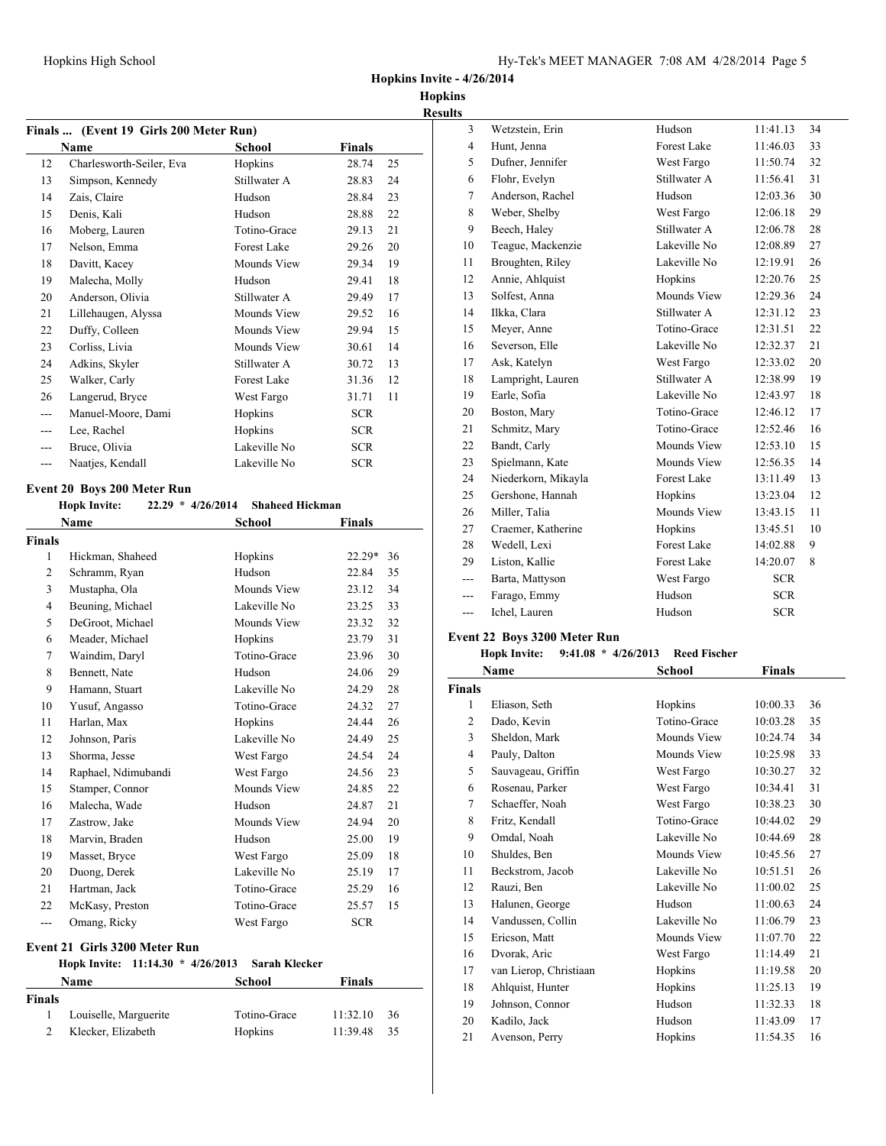**Hopkins**

|                    | Finals  (Event 19 Girls 200 Meter Run)<br>Name                                   | School                 | <b>Finals</b> |    |
|--------------------|----------------------------------------------------------------------------------|------------------------|---------------|----|
| 12                 | Charlesworth-Seiler, Eva                                                         | Hopkins                | 28.74         | 25 |
| 13                 | Simpson, Kennedy                                                                 | Stillwater A           | 28.83         | 24 |
| 14                 | Zais, Claire                                                                     | Hudson                 | 28.84         | 23 |
| 15                 | Denis, Kali                                                                      | Hudson                 | 28.88         | 22 |
| 16                 | Moberg, Lauren                                                                   | Totino-Grace           | 29.13         | 21 |
| 17                 | Nelson, Emma                                                                     | <b>Forest Lake</b>     | 29.26         | 20 |
| 18                 | Davitt, Kacey                                                                    | Mounds View            | 29.34         | 19 |
| 19                 | Malecha, Molly                                                                   | Hudson                 | 29.41         | 18 |
| 20                 | Anderson, Olivia                                                                 | Stillwater A           |               |    |
| 21                 |                                                                                  | Mounds View            | 29.49         | 17 |
| 22                 | Lillehaugen, Alyssa                                                              |                        | 29.52         | 16 |
|                    | Duffy, Colleen                                                                   | Mounds View            | 29.94         | 15 |
| 23                 | Corliss, Livia                                                                   | Mounds View            | 30.61         | 14 |
| 24                 | Adkins, Skyler                                                                   | Stillwater A           | 30.72         | 13 |
| 25                 | Walker, Carly                                                                    | <b>Forest Lake</b>     | 31.36         | 12 |
| 26                 | Langerud, Bryce                                                                  | West Fargo             | 31.71         | 11 |
| $\overline{a}$     | Manuel-Moore, Dami                                                               | Hopkins                | <b>SCR</b>    |    |
| $---$              | Lee, Rachel                                                                      | Hopkins                | <b>SCR</b>    |    |
| ---                | Bruce, Olivia                                                                    | Lakeville No           | <b>SCR</b>    |    |
| ---                | Naatjes, Kendall                                                                 | Lakeville No           | <b>SCR</b>    |    |
|                    | <b>Event 20 Boys 200 Meter Run</b><br><b>Hopk Invite:</b><br>$22.29 * 4/26/2014$ | <b>Shaheed Hickman</b> |               |    |
|                    |                                                                                  |                        |               |    |
|                    | Name                                                                             | <b>School</b>          | <b>Finals</b> |    |
|                    |                                                                                  |                        |               |    |
| 1                  | Hickman, Shaheed                                                                 | Hopkins                | $22.29*$      | 36 |
| $\overline{2}$     | Schramm, Ryan                                                                    | Hudson                 | 22.84         | 35 |
| 3                  | Mustapha, Ola                                                                    | Mounds View            | 23.12         | 34 |
| 4                  | Beuning, Michael                                                                 | Lakeville No           | 23.25         | 33 |
| 5                  | DeGroot, Michael                                                                 | Mounds View            | 23.32         | 32 |
| <b>Finals</b><br>6 | Meader, Michael                                                                  | Hopkins                | 23.79         | 31 |
| 7                  | Waindim, Daryl                                                                   | Totino-Grace           | 23.96         | 30 |
| 8                  | Bennett, Nate                                                                    | Hudson                 | 24.06         | 29 |
| 9                  | Hamann, Stuart                                                                   | Lakeville No           | 24.29         | 28 |
| 10                 | Yusuf, Angasso                                                                   | Totino-Grace           | 24.32         | 27 |
| 11                 | Harlan, Max                                                                      | Hopkins                | 24.44         | 26 |
| 12                 | Johnson, Paris                                                                   | Lakeville No           | 24.49         | 25 |
| 13                 | Shorma, Jesse                                                                    | West Fargo             | 24.54         | 24 |
| 14                 | Raphael, Ndimubandi                                                              | West Fargo             | 24.56         | 23 |
| 15                 | Stamper, Connor                                                                  | Mounds View            | 24.85         | 22 |
| 16                 | Malecha, Wade                                                                    | Hudson                 | 24.87         | 21 |
|                    | Zastrow, Jake                                                                    | Mounds View            | 24.94         | 20 |
|                    | Marvin, Braden                                                                   | Hudson                 | 25.00         | 19 |
| 17<br>18<br>19     | Masset, Bryce                                                                    | West Fargo             | 25.09         | 18 |
|                    | Duong, Derek                                                                     | Lakeville No           | 25.19         | 17 |
| 20<br>21           | Hartman, Jack                                                                    | Totino-Grace           | 25.29         | 16 |
| 22                 | McKasy, Preston                                                                  | Totino-Grace           | 25.57         | 15 |

#### **Hopk Invite: 11:14.30 \* 4/26/2013 Sarah Klecker**

|               | Name                  | School       | <b>Finals</b> |      |
|---------------|-----------------------|--------------|---------------|------|
| <b>Finals</b> |                       |              |               |      |
|               | Louiselle, Marguerite | Totino-Grace | 11:32.10      | -36  |
|               | Klecker, Elizabeth    | Hopkins      | 11:39.48      | - 35 |

| S              |                     |                    |            |    |
|----------------|---------------------|--------------------|------------|----|
| 3              | Wetzstein, Erin     | Hudson             | 11:41.13   | 34 |
| $\overline{4}$ | Hunt, Jenna         | <b>Forest Lake</b> | 11:46.03   | 33 |
| 5              | Dufner, Jennifer    | West Fargo         | 11:50.74   | 32 |
| 6              | Flohr, Evelyn       | Stillwater A       | 11:56.41   | 31 |
| 7              | Anderson, Rachel    | Hudson             | 12:03.36   | 30 |
| 8              | Weber, Shelby       | West Fargo         | 12:06.18   | 29 |
| 9              | Beech, Haley        | Stillwater A       | 12:06.78   | 28 |
| 10             | Teague, Mackenzie   | Lakeville No       | 12:08.89   | 27 |
| 11             | Broughten, Riley    | Lakeville No       | 12:19.91   | 26 |
| 12             | Annie, Ahlquist     | Hopkins            | 12:20.76   | 25 |
| 13             | Solfest, Anna       | Mounds View        | 12:29.36   | 24 |
| 14             | Ilkka, Clara        | Stillwater A       | 12:31.12   | 23 |
| 15             | Meyer, Anne         | Totino-Grace       | 12:31.51   | 22 |
| 16             | Severson, Elle      | Lakeville No       | 12:32.37   | 21 |
| 17             | Ask, Katelyn        | West Fargo         | 12:33.02   | 20 |
| 18             | Lampright, Lauren   | Stillwater A       | 12:38.99   | 19 |
| 19             | Earle, Sofia        | Lakeville No       | 12:43.97   | 18 |
| 20             | Boston, Mary        | Totino-Grace       | 12:46.12   | 17 |
| 21             | Schmitz, Mary       | Totino-Grace       | 12:52.46   | 16 |
| 22             | Bandt, Carly        | Mounds View        | 12:53.10   | 15 |
| 23             | Spielmann, Kate     | Mounds View        | 12:56.35   | 14 |
| 24             | Niederkorn, Mikayla | <b>Forest Lake</b> | 13:11.49   | 13 |
| 25             | Gershone, Hannah    | Hopkins            | 13:23.04   | 12 |
| 26             | Miller, Talia       | Mounds View        | 13:43.15   | 11 |
| 27             | Craemer, Katherine  | Hopkins            | 13:45.51   | 10 |
| 28             | Wedell, Lexi        | <b>Forest Lake</b> | 14:02.88   | 9  |
| 29             | Liston, Kallie      | Forest Lake        | 14:20.07   | 8  |
| $---$          | Barta, Mattyson     | West Fargo         | <b>SCR</b> |    |
| ---            | Farago, Emmy        | Hudson             | <b>SCR</b> |    |
| ---            | Ichel, Lauren       | Hudson             | <b>SCR</b> |    |

## **Event 22 Boys 3200 Meter Run**

### **Hopk Invite: 9:41.08 \* 4/26/2013 Reed Fischer**

|                | Name                   | School       | <b>Finals</b> |    |
|----------------|------------------------|--------------|---------------|----|
| <b>Finals</b>  |                        |              |               |    |
| 1              | Eliason, Seth          | Hopkins      | 10:00.33      | 36 |
| 2              | Dado, Kevin            | Totino-Grace | 10:03.28      | 35 |
| 3              | Sheldon, Mark          | Mounds View  | 10:24.74      | 34 |
| $\overline{4}$ | Pauly, Dalton          | Mounds View  | 10:25.98      | 33 |
| 5              | Sauvageau, Griffin     | West Fargo   | 10:30.27      | 32 |
| 6              | Rosenau, Parker        | West Fargo   | 10:34.41      | 31 |
| 7              | Schaeffer, Noah        | West Fargo   | 10:38.23      | 30 |
| 8              | Fritz, Kendall         | Totino-Grace | 10:44.02      | 29 |
| 9              | Omdal, Noah            | Lakeville No | 10:44.69      | 28 |
| 10             | Shuldes, Ben           | Mounds View  | 10:45.56      | 27 |
| 11             | Beckstrom, Jacob       | Lakeville No | 10:51.51      | 26 |
| 12             | Rauzi, Ben             | Lakeville No | 11:00.02      | 25 |
| 13             | Halunen, George        | Hudson       | 11:00.63      | 24 |
| 14             | Vandussen, Collin      | Lakeville No | 11:06.79      | 23 |
| 15             | Ericson, Matt          | Mounds View  | 11:07.70      | 22 |
| 16             | Dvorak, Aric           | West Fargo   | 11:14.49      | 21 |
| 17             | van Lierop, Christiaan | Hopkins      | 11:19.58      | 20 |
| 18             | Ahlquist, Hunter       | Hopkins      | 11:25.13      | 19 |
| 19             | Johnson, Connor        | Hudson       | 11:32.33      | 18 |
| 20             | Kadilo, Jack           | Hudson       | 11:43.09      | 17 |
| 21             | Avenson, Perry         | Hopkins      | 11:54.35      | 16 |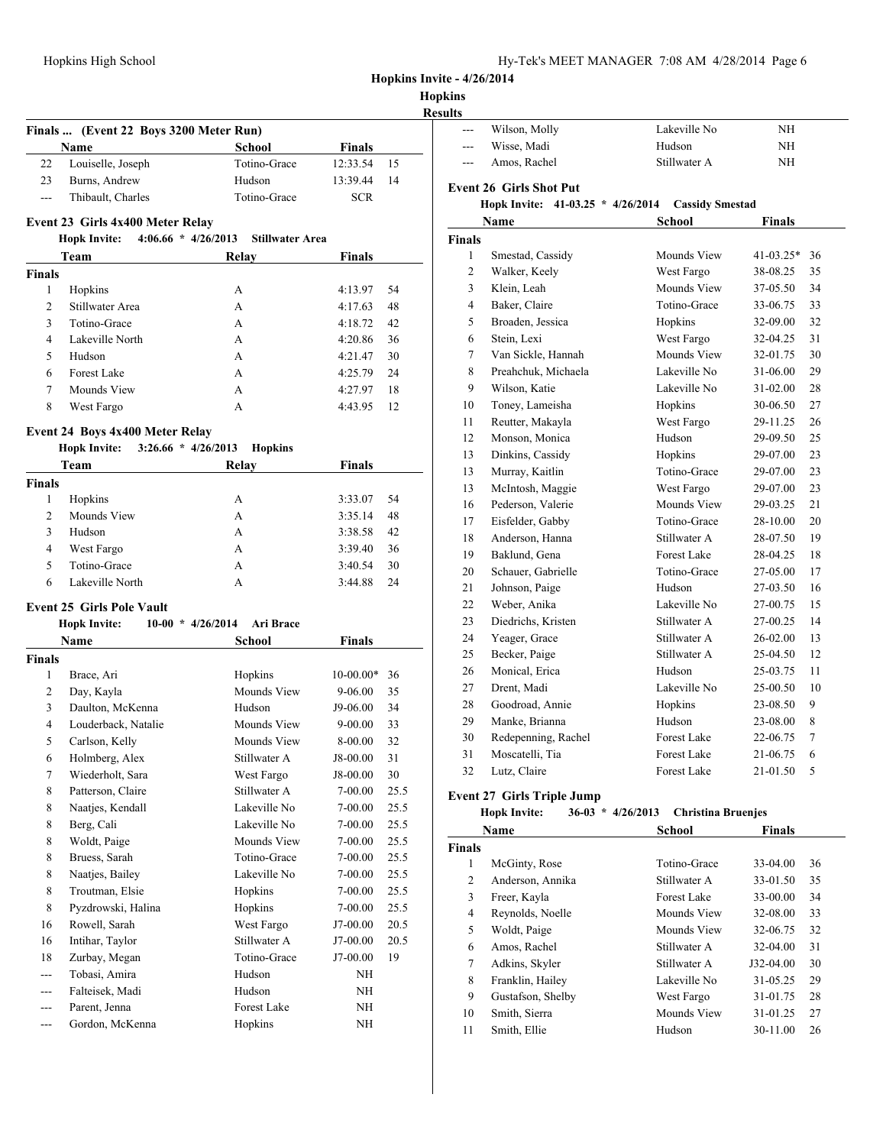| Hy-Tek's MEET MANAGER 7:08 AM 4/28/2014 Page 6 |  |  |  |
|------------------------------------------------|--|--|--|
|------------------------------------------------|--|--|--|

|                   | Hopkins High School                          |                        |                |      | Hopkins Invite - 4/26/2014      |                                     | Hy-Tek's MEET MANAGER 7:08 AM 4/28/2014 Page 6 |                                       |
|-------------------|----------------------------------------------|------------------------|----------------|------|---------------------------------|-------------------------------------|------------------------------------------------|---------------------------------------|
|                   |                                              |                        |                |      | <b>Hopkins</b>                  |                                     |                                                |                                       |
|                   | Finals  (Event 22 Boys 3200 Meter Run)       |                        |                |      | <b>Results</b><br>$\sim$ $\sim$ | Wilson, Molly                       | Lakeville No                                   | NH                                    |
|                   | Name                                         | School                 | <b>Finals</b>  |      | ---                             | Wisse, Madi                         | Hudson                                         | NH                                    |
| 22                | Louiselle, Joseph                            | Totino-Grace           | 12:33.54       | 15   | $---$                           | Amos, Rachel                        | Stillwater A                                   | NH                                    |
| 23                | Burns, Andrew                                | Hudson                 | 13:39.44       | 14   |                                 |                                     |                                                |                                       |
| $\overline{a}$    | Thibault, Charles                            | Totino-Grace           | <b>SCR</b>     |      |                                 | <b>Event 26 Girls Shot Put</b>      |                                                |                                       |
|                   |                                              |                        |                |      |                                 | Hopk Invite: $41-03.25 * 4/26/2014$ | <b>Cassidy Smestad</b>                         |                                       |
|                   | Event 23 Girls 4x400 Meter Relay             |                        |                |      |                                 | Name                                | School                                         | <b>Finals</b>                         |
|                   | <b>Hopk Invite:</b><br>$4:06.66 * 4/26/2013$ | <b>Stillwater Area</b> |                |      | Finals                          |                                     |                                                |                                       |
|                   | Team                                         | Relay                  | <b>Finals</b>  |      | -1                              | Smestad, Cassidy                    | Mounds View                                    | $41-03.25*$                           |
| Finals            |                                              |                        |                |      | $\overline{2}$                  | Walker, Keely                       | West Fargo                                     | 38-08.25                              |
| $\mathbf{1}$      | Hopkins                                      | А                      | 4:13.97        | 54   | 3                               | Klein, Leah                         | Mounds View                                    | 37-05.50                              |
| $\overline{2}$    | Stillwater Area                              | A                      | 4:17.63        | 48   | $\overline{4}$                  | Baker, Claire                       | Totino-Grace                                   | 33-06.75                              |
| 3                 | Totino-Grace                                 | А                      | 4:18.72        | 42   | 5                               | Broaden, Jessica                    | Hopkins                                        | 32-09.00<br>32-04.25                  |
| 4                 | Lakeville North                              | A                      | 4:20.86        | 36   | 6                               | Stein, Lexi                         | West Fargo                                     |                                       |
| 5                 | Hudson                                       | A                      | 4:21.47        | 30   | $\overline{7}$                  | Van Sickle, Hannah                  | Mounds View                                    | 32-01.75                              |
| 6                 | Forest Lake                                  | А                      | 4:25.79        | 24   | 8                               | Preahchuk, Michaela                 | Lakeville No                                   | 31-06.00                              |
| 7                 | Mounds View                                  | A                      | 4:27.97        | 18   | 9                               | Wilson, Katie                       | Lakeville No                                   | 31-02.00                              |
| 8                 | West Fargo                                   | A                      | 4:43.95        | 12   | 10                              | Toney, Lameisha                     | Hopkins                                        | 30-06.50                              |
|                   | Event 24 Boys 4x400 Meter Relay              |                        |                |      | 11                              | Reutter, Makayla                    | West Fargo                                     | 29-11.25                              |
|                   | $3:26.66 * 4/26/2013$<br><b>Hopk Invite:</b> | <b>Hopkins</b>         |                |      | 12                              | Monson, Monica                      | Hudson                                         | 29-09.50                              |
|                   | Team                                         | Relay                  | <b>Finals</b>  |      | 13                              | Dinkins, Cassidy                    | Hopkins                                        | 29-07.00                              |
| <b>Finals</b>     |                                              |                        |                |      | 13                              | Murray, Kaitlin                     | Totino-Grace                                   | 29-07.00                              |
| 1                 | Hopkins                                      | A                      | 3:33.07        | 54   | 13                              | McIntosh, Maggie                    | West Fargo                                     | 29-07.00                              |
| $\overline{2}$    | Mounds View                                  | A                      | 3:35.14        | 48   | 16                              | Pederson, Valerie                   | Mounds View                                    | 29-03.25                              |
| 3                 | Hudson                                       | A                      | 3:38.58        | 42   | 17                              | Eisfelder, Gabby                    | Totino-Grace                                   | 28-10.00                              |
| 4                 | West Fargo                                   | А                      | 3:39.40        | 36   | 18                              | Anderson, Hanna                     | Stillwater A                                   | 28-07.50                              |
| 5                 | Totino-Grace                                 | А                      | 3:40.54        | 30   | 19                              | Baklund, Gena                       | Forest Lake                                    | 28-04.25                              |
| 6                 | Lakeville North                              | A                      | 3:44.88        | 24   | 20                              | Schauer, Gabrielle                  | Totino-Grace                                   | 27-05.00                              |
|                   |                                              |                        |                |      | 21                              | Johnson, Paige                      | Hudson                                         | 27-03.50                              |
|                   | <b>Event 25 Girls Pole Vault</b>             |                        |                |      | 22                              | Weber, Anika                        | Lakeville No                                   | 27-00.75                              |
|                   | $10-00 * 4/26/2014$<br><b>Hopk Invite:</b>   | <b>Ari Brace</b>       |                |      | 23                              | Diedrichs, Kristen                  | Stillwater A                                   | 27-00.25                              |
|                   | Name                                         | School                 | <b>Finals</b>  |      | 24                              | Yeager, Grace                       | Stillwater A                                   | 26-02.00                              |
| <b>Finals</b>     |                                              |                        |                |      | 25                              | Becker, Paige                       | Stillwater A                                   | 25-04.50<br>25-03.75                  |
| 1                 | Brace, Ari                                   | Hopkins                | $10-00.00*$ 36 |      | 26                              | Monical, Erica                      | Hudson                                         | 25-00.50                              |
| 2                 | Day, Kayla                                   | Mounds View            | 9-06.00        | 35   | 27                              | Drent, Madi                         | Lakeville No                                   |                                       |
|                   | Daulton, McKenna                             | Hudson                 | J9-06.00       | 34   | 28                              | Goodroad, Annie<br>Manke, Brianna   | Hopkins<br>Hudson                              | 23-08.50                              |
| 3                 | Louderback, Natalie                          |                        |                |      |                                 |                                     |                                                |                                       |
| 4                 |                                              | <b>Mounds View</b>     | $9 - 00.00$    | 33   | 29                              |                                     |                                                |                                       |
| 5                 | Carlson, Kelly                               | Mounds View            | 8-00.00        | 32   | 30                              | Redepenning, Rachel                 | Forest Lake                                    |                                       |
| 6                 | Holmberg, Alex                               | Stillwater A           | J8-00.00       | 31   | 31                              | Moscatelli, Tia                     | Forest Lake                                    |                                       |
| $\tau$            | Wiederholt, Sara                             | West Fargo             | J8-00.00       | 30   | 32                              | Lutz, Claire                        | Forest Lake                                    | 22-06.75<br>21-01.50                  |
| 8                 | Patterson, Claire                            | Stillwater A           | 7-00.00        | 25.5 |                                 | <b>Event 27 Girls Triple Jump</b>   |                                                |                                       |
| 8                 | Naatjes, Kendall                             | Lakeville No           | 7-00.00        | 25.5 |                                 | <b>Hopk Invite:</b>                 | 36-03 * 4/26/2013 Christina Bruenjes           |                                       |
| 8                 | Berg, Cali                                   | Lakeville No           | 7-00.00        | 25.5 |                                 | Name                                | <b>School</b>                                  |                                       |
| 8                 | Woldt, Paige                                 | Mounds View            | 7-00.00        | 25.5 |                                 |                                     |                                                | 23-08.00<br>21-06.75<br><b>Finals</b> |
| 8                 | Bruess, Sarah                                | Totino-Grace           | 7-00.00        | 25.5 | <b>Finals</b><br>$\mathbf{1}$   | McGinty, Rose                       | Totino-Grace                                   | 33-04.00                              |
| 8                 | Naatjes, Bailey                              | Lakeville No           | $7 - 00.00$    | 25.5 | $\overline{2}$                  | Anderson, Annika                    | Stillwater A                                   | 33-01.50                              |
| 8                 | Troutman, Elsie                              | Hopkins                | 7-00.00        | 25.5 | 3                               | Freer, Kayla                        | Forest Lake                                    |                                       |
| 8                 | Pyzdrowski, Halina                           | Hopkins                | 7-00.00        | 25.5 | $\overline{4}$                  | Reynolds, Noelle                    | Mounds View                                    | 33-00.00<br>32-08.00                  |
| 16                | Rowell, Sarah                                | West Fargo             | J7-00.00       | 20.5 | 5                               | Woldt, Paige                        | Mounds View                                    |                                       |
| 16                | Intihar, Taylor                              | Stillwater A           | J7-00.00       | 20.5 | 6                               | Amos, Rachel                        | Stillwater A                                   | 32-06.75<br>32-04.00                  |
| 18                | Zurbay, Megan                                | Totino-Grace           | J7-00.00       | 19   | $\tau$                          | Adkins, Skyler                      | Stillwater A                                   |                                       |
| $---$             | Tobasi, Amira                                | Hudson                 | NH             |      | 8                               | Franklin, Hailey                    | Lakeville No                                   |                                       |
| $---$             | Falteisek, Madi                              | Hudson                 | NH             |      | 9                               | Gustafson, Shelby                   | West Fargo                                     | J32-04.00<br>31-05.25<br>31-01.75     |
| $\qquad \qquad -$ | Parent, Jenna<br>Gordon, McKenna             | Forest Lake<br>Hopkins | NH<br>NH       |      | 10                              | Smith, Sierra                       | Mounds View                                    | 31-01.25                              |

| ιιз            |                                               |                        |              |    |
|----------------|-----------------------------------------------|------------------------|--------------|----|
| $---$          | Wilson, Molly                                 | Lakeville No           | NH           |    |
| ---            | Wisse, Madi                                   | Hudson                 | <b>NH</b>    |    |
| ---            | Amos, Rachel                                  | Stillwater A           | ΝH           |    |
|                | <b>Event 26 Girls Shot Put</b>                |                        |              |    |
|                | <b>Hopk Invite:</b><br>$41-03.25 * 4/26/2014$ | <b>Cassidy Smestad</b> |              |    |
|                | Name                                          | School                 | Finals       |    |
| Finals         |                                               |                        |              |    |
| 1              | Smestad, Cassidy                              | Mounds View            | $41-03.25*$  | 36 |
| $\overline{c}$ | Walker, Keely                                 | West Fargo             | 38-08.25     | 35 |
| 3              | Klein, Leah                                   | Mounds View            | 37-05.50     | 34 |
| 4              | Baker, Claire                                 | Totino-Grace           | 33-06.75     | 33 |
| 5              | Broaden, Jessica                              | Hopkins                | 32-09.00     | 32 |
| 6              | Stein, Lexi                                   | West Fargo             | 32-04.25     | 31 |
| 7              | Van Sickle, Hannah                            | Mounds View            | 32-01.75     | 30 |
| 8              | Preahchuk, Michaela                           | Lakeville No           | 31-06.00     | 29 |
| 9              | Wilson, Katie                                 | Lakeville No           | $31 - 02.00$ | 28 |
| 10             | Toney, Lameisha                               | Hopkins                | 30-06.50     | 27 |
| 11             | Reutter, Makayla                              | West Fargo             | 29-11.25     | 26 |
| 12             | Monson, Monica                                | Hudson                 | 29-09.50     | 25 |
| 13             | Dinkins, Cassidy                              | Hopkins                | 29-07.00     | 23 |
| 13             | Murray, Kaitlin                               | Totino-Grace           | 29-07.00     | 23 |
| 13             | McIntosh, Maggie                              | West Fargo             | 29-07.00     | 23 |
| 16             | Pederson, Valerie                             | Mounds View            | 29-03.25     | 21 |
| 17             | Eisfelder, Gabby                              | Totino-Grace           | 28-10.00     | 20 |
| 18             | Anderson, Hanna                               | Stillwater A           | 28-07.50     | 19 |
| 19             | Baklund, Gena                                 | Forest Lake            | 28-04.25     | 18 |
| 20             | Schauer, Gabrielle                            | Totino-Grace           | 27-05.00     | 17 |
| 21             | Johnson, Paige                                | Hudson                 | 27-03.50     | 16 |
| 22             | Weber, Anika                                  | Lakeville No           | 27-00.75     | 15 |
| 23             | Diedrichs, Kristen                            | Stillwater A           | 27-00.25     | 14 |
| 24             | Yeager, Grace                                 | Stillwater A           | 26-02.00     | 13 |
| 25             | Becker, Paige                                 | Stillwater A           | 25-04.50     | 12 |
| 26             | Monical, Erica                                | Hudson                 | 25-03.75     | 11 |
| 27             | Drent, Madi                                   | Lakeville No           | 25-00.50     | 10 |
| 28             | Goodroad, Annie                               | Hopkins                | 23-08.50     | 9  |
| 29             | Manke, Brianna                                | Hudson                 | 23-08.00     | 8  |
| 30             | Redepenning, Rachel                           | Forest Lake            | 22-06.75     | 7  |
| 31             | Moscatelli. Tia                               | Forest Lake            | 21-06.75     | 6  |
| 32             | Lutz, Claire                                  | <b>Forest Lake</b>     | 21-01.50     | 5  |
|                |                                               |                        |              |    |

# **Girls Triple Jump**

 $\overline{\phantom{a}}$ 

|  | <b>Hopk Invite:</b> | $36-03 * 4/26/2013$ | Christina Bruenjes |
|--|---------------------|---------------------|--------------------|
|--|---------------------|---------------------|--------------------|

|        | Name              | <b>School</b> | <b>Finals</b> |    |  |
|--------|-------------------|---------------|---------------|----|--|
| Finals |                   |               |               |    |  |
| 1      | McGinty, Rose     | Totino-Grace  | $33-04.00$    | 36 |  |
| 2      | Anderson, Annika  | Stillwater A  | 33-01.50      | 35 |  |
| 3      | Freer, Kayla      | Forest Lake   | 33-00.00      | 34 |  |
| 4      | Reynolds, Noelle  | Mounds View   | 32-08.00      | 33 |  |
| 5      | Woldt, Paige      | Mounds View   | 32-06.75      | 32 |  |
| 6      | Amos, Rachel      | Stillwater A  | $32 - 04.00$  | 31 |  |
| 7      | Adkins, Skyler    | Stillwater A  | $J32-04.00$   | 30 |  |
| 8      | Franklin, Hailey  | Lakeville No  | 31-05.25      | 29 |  |
| 9      | Gustafson, Shelby | West Fargo    | 31-01.75      | 28 |  |
| 10     | Smith, Sierra     | Mounds View   | 31-01.25      | 27 |  |
| 11     | Smith, Ellie      | Hudson        | 30-11.00      | 26 |  |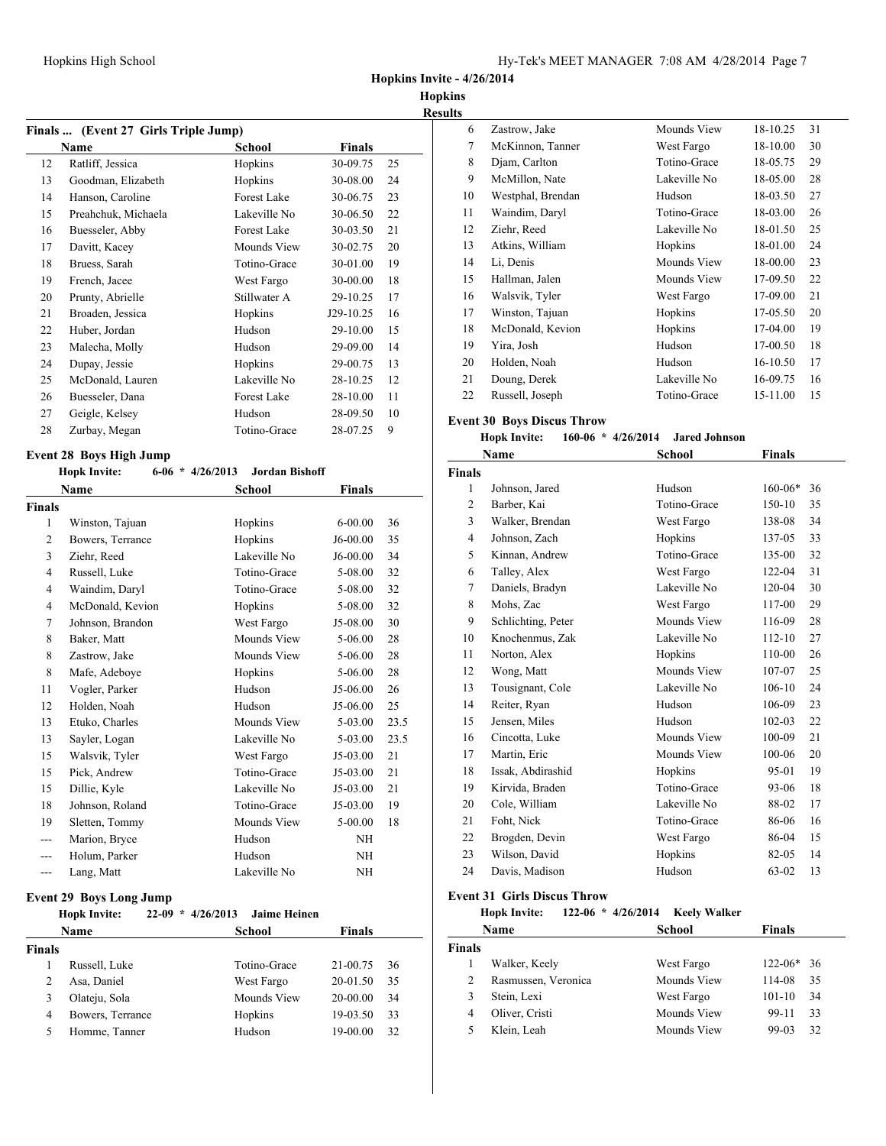**Hopkins Invite - 4/26/2014**

**Hopkins Results**

| Finals  (Event 27 Girls Triple Jump) |                    |           |    |  |
|--------------------------------------|--------------------|-----------|----|--|
| Name                                 | School             | Finals    |    |  |
| Ratliff, Jessica                     | Hopkins            | 30-09.75  | 25 |  |
| Goodman, Elizabeth                   | Hopkins            | 30-08.00  | 24 |  |
| Hanson, Caroline                     | Forest Lake        | 30-06.75  | 23 |  |
| Preahchuk, Michaela                  | Lakeville No       | 30-06.50  | 22 |  |
| Buesseler, Abby                      | <b>Forest Lake</b> | 30-03.50  | 21 |  |
| Davitt, Kacey                        | Mounds View        | 30-02.75  | 20 |  |
| Bruess, Sarah                        | Totino-Grace       | 30-01.00  | 19 |  |
| French, Jacee                        | West Fargo         | 30-00.00  | 18 |  |
| Prunty, Abrielle                     | Stillwater A       | 29-10.25  | 17 |  |
| Broaden, Jessica                     | Hopkins            | J29-10.25 | 16 |  |
| Huber, Jordan                        | Hudson             | 29-10.00  | 15 |  |
| Malecha, Molly                       | Hudson             | 29-09.00  | 14 |  |
| Dupay, Jessie                        | Hopkins            | 29-00.75  | 13 |  |
| McDonald, Lauren                     | Lakeville No       | 28-10.25  | 12 |  |
| Buesseler, Dana                      | <b>Forest Lake</b> | 28-10.00  | 11 |  |
| Geigle, Kelsey                       | Hudson             | 28-09.50  | 10 |  |
| Zurbay, Megan                        | Totino-Grace       | 28-07.25  | 9  |  |
|                                      |                    |           |    |  |

### **Event 28 Boys High Jump**

|                | $6-06$ * $4/26/2013$<br><b>Hopk Invite:</b> | <b>Jordan Bishoff</b> |             |      |
|----------------|---------------------------------------------|-----------------------|-------------|------|
|                | <b>Name</b>                                 | School                | Finals      |      |
| <b>Finals</b>  |                                             |                       |             |      |
| 1              | Winston, Tajuan                             | Hopkins               | $6 - 00.00$ | 36   |
| 2              | Bowers, Terrance                            | Hopkins               | J6-00.00    | 35   |
| 3              | Ziehr, Reed                                 | Lakeville No          | $J6-00.00$  | 34   |
| $\overline{4}$ | Russell, Luke                               | Totino-Grace          | 5-08.00     | 32   |
| 4              | Waindim, Daryl                              | Totino-Grace          | 5-08.00     | 32   |
| 4              | McDonald, Kevion                            | Hopkins               | 5-08.00     | 32   |
| 7              | Johnson, Brandon                            | West Fargo            | J5-08.00    | 30   |
| 8              | Baker, Matt                                 | Mounds View           | 5-06.00     | 28   |
| 8              | Zastrow, Jake                               | Mounds View           | 5-06.00     | 28   |
| 8              | Mafe, Adeboye                               | Hopkins               | 5-06.00     | 28   |
| 11             | Vogler, Parker                              | Hudson                | $J5-06.00$  | 26   |
| 12             | Holden, Noah                                | Hudson                | J5-06.00    | 25   |
| 13             | Etuko, Charles                              | Mounds View           | 5-03.00     | 23.5 |
| 13             | Sayler, Logan                               | Lakeville No          | 5-03.00     | 23.5 |
| 15             | Walsvik, Tyler                              | West Fargo            | $J5-03.00$  | 21   |
| 15             | Pick, Andrew                                | Totino-Grace          | J5-03.00    | 21   |
| 15             | Dillie, Kyle                                | Lakeville No          | J5-03.00    | 21   |
| 18             | Johnson, Roland                             | Totino-Grace          | J5-03.00    | 19   |
| 19             | Sletten, Tommy                              | Mounds View           | 5-00.00     | 18   |
| ---            | Marion, Bryce                               | Hudson                | NH          |      |
| ---            | Holum, Parker                               | Hudson                | <b>NH</b>   |      |
| ---            | Lang, Matt                                  | Lakeville No          | NH          |      |

## **Event 29 Boys Long Jump**

|        | <b>Hopk Invite:</b> | 4/26/2013<br>$22-09$<br>$\star$ | <b>Jaime Heinen</b> |               |    |
|--------|---------------------|---------------------------------|---------------------|---------------|----|
|        | <b>Name</b>         |                                 | School              | <b>Finals</b> |    |
| Finals |                     |                                 |                     |               |    |
|        | Russell, Luke       |                                 | Totino-Grace        | 21-00.75      | 36 |
| 2      | Asa, Daniel         |                                 | West Fargo          | 20-01.50      | 35 |
| 3      | Olateju, Sola       |                                 | Mounds View         | $20 - 00.00$  | 34 |
| 4      | Bowers, Terrance    |                                 | Hopkins             | 19-03.50      | 33 |
| 5      | Homme, Tanner       |                                 | Hudson              | 19-00.00      | 32 |

| .S |                   |              |          |    |
|----|-------------------|--------------|----------|----|
| 6  | Zastrow, Jake     | Mounds View  | 18-10.25 | 31 |
| 7  | McKinnon, Tanner  | West Fargo   | 18-10.00 | 30 |
| 8  | Djam, Carlton     | Totino-Grace | 18-05.75 | 29 |
| 9  | McMillon, Nate    | Lakeville No | 18-05.00 | 28 |
| 10 | Westphal, Brendan | Hudson       | 18-03.50 | 27 |
| 11 | Waindim, Daryl    | Totino-Grace | 18-03.00 | 26 |
| 12 | Ziehr, Reed       | Lakeville No | 18-01.50 | 25 |
| 13 | Atkins, William   | Hopkins      | 18-01.00 | 24 |
| 14 | Li, Denis         | Mounds View  | 18-00.00 | 23 |
| 15 | Hallman, Jalen    | Mounds View  | 17-09.50 | 22 |
| 16 | Walsvik, Tyler    | West Fargo   | 17-09.00 | 21 |
| 17 | Winston, Tajuan   | Hopkins      | 17-05.50 | 20 |
| 18 | McDonald, Kevion  | Hopkins      | 17-04.00 | 19 |
| 19 | Yira, Josh        | Hudson       | 17-00.50 | 18 |
| 20 | Holden, Noah      | Hudson       | 16-10.50 | 17 |
| 21 | Doung, Derek      | Lakeville No | 16-09.75 | 16 |
| 22 | Russell, Joseph   | Totino-Grace | 15-11.00 | 15 |

## **Event 30 Boys Discus Throw**

## **Hopk Invite: 160-06 \* 4/26/2014 Jared Johnson**

|                | Name               | <b>School</b> | <b>Finals</b> |    |
|----------------|--------------------|---------------|---------------|----|
| <b>Finals</b>  |                    |               |               |    |
| $\mathbf{1}$   | Johnson, Jared     | Hudson        | $160 - 06*$   | 36 |
| $\overline{c}$ | Barber, Kai        | Totino-Grace  | 150-10        | 35 |
| 3              | Walker, Brendan    | West Fargo    | 138-08        | 34 |
| 4              | Johnson, Zach      | Hopkins       | 137-05        | 33 |
| 5              | Kinnan, Andrew     | Totino-Grace  | 135-00        | 32 |
| 6              | Talley, Alex       | West Fargo    | 122-04        | 31 |
| 7              | Daniels, Bradyn    | Lakeville No  | 120-04        | 30 |
| 8              | Mohs, Zac          | West Fargo    | 117-00        | 29 |
| 9              | Schlichting, Peter | Mounds View   | 116-09        | 28 |
| 10             | Knochenmus, Zak    | Lakeville No  | $112 - 10$    | 27 |
| 11             | Norton, Alex       | Hopkins       | 110-00        | 26 |
| 12             | Wong, Matt         | Mounds View   | 107-07        | 25 |
| 13             | Tousignant, Cole   | Lakeville No  | $106 - 10$    | 24 |
| 14             | Reiter, Ryan       | Hudson        | 106-09        | 23 |
| 15             | Jensen, Miles      | Hudson        | $102 - 03$    | 22 |
| 16             | Cincotta, Luke     | Mounds View   | 100-09        | 21 |
| 17             | Martin, Eric       | Mounds View   | 100-06        | 20 |
| 18             | Issak, Abdirashid  | Hopkins       | 95-01         | 19 |
| 19             | Kirvida, Braden    | Totino-Grace  | 93-06         | 18 |
| 20             | Cole, William      | Lakeville No  | 88-02         | 17 |
| 21             | Foht, Nick         | Totino-Grace  | 86-06         | 16 |
| 22             | Brogden, Devin     | West Fargo    | 86-04         | 15 |
| 23             | Wilson, David      | Hopkins       | 82-05         | 14 |
| 24             | Davis, Madison     | Hudson        | 63-02         | 13 |
|                |                    |               |               |    |

#### **Event 31 Girls Discus Throw**

### **Hopk Invite: 122-06 \* 4/26/2014 Keely Walker**

|               | Name                | School      | <b>Finals</b>      |
|---------------|---------------------|-------------|--------------------|
| <b>Finals</b> |                     |             |                    |
|               | Walker, Keely       | West Fargo  | $122 - 06*$<br>-36 |
| 2             | Rasmussen, Veronica | Mounds View | 114-08<br>35       |
| 3             | Stein, Lexi         | West Fargo  | $101 - 10$<br>34   |
| 4             | Oliver, Cristi      | Mounds View | 33<br>99-11        |
|               | Klein, Leah         | Mounds View | 32<br>99-03        |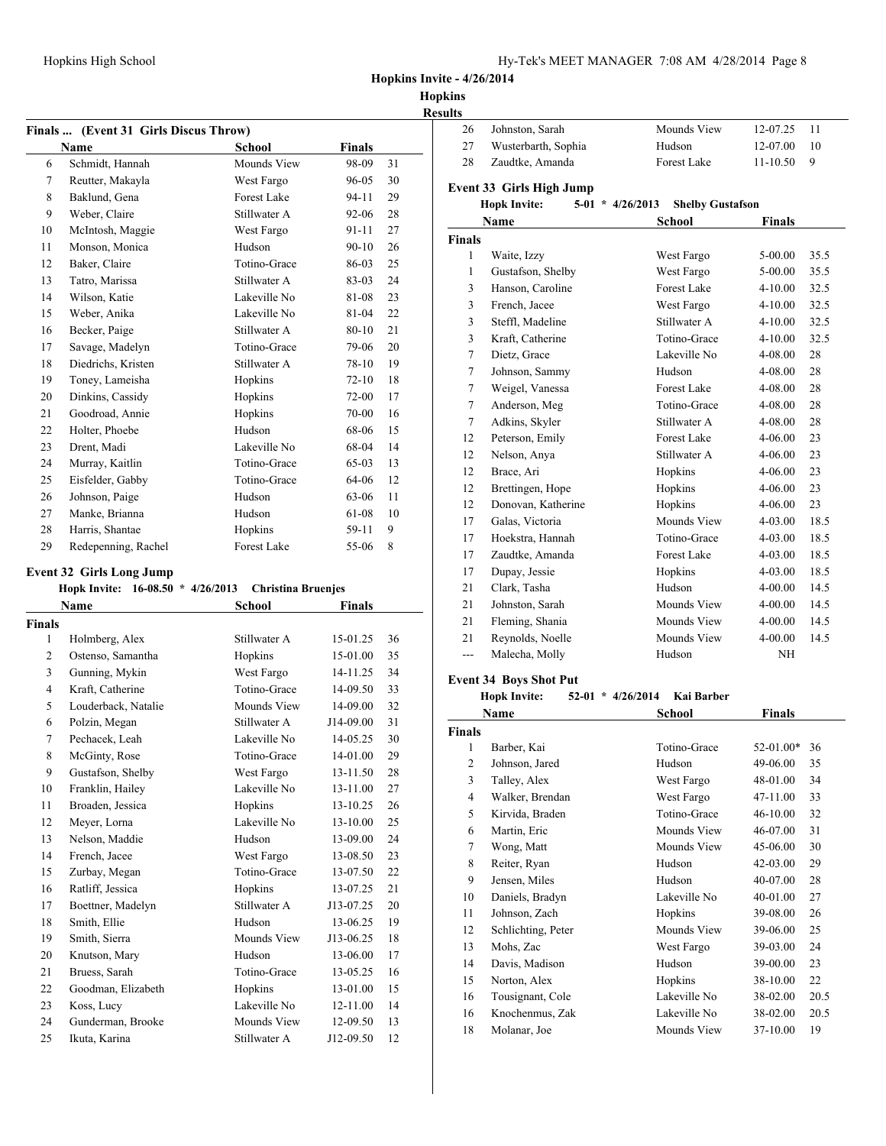**Hopkins**

| <b>Results</b> |
|----------------|
|----------------|

| Finals  (Event 31 Girls Discus Throw)<br><b>School</b><br><b>Finals</b><br><b>Name</b> |                     |                    |           |    |  |
|----------------------------------------------------------------------------------------|---------------------|--------------------|-----------|----|--|
| 6                                                                                      | Schmidt, Hannah     | Mounds View        | 98-09     | 31 |  |
| 7                                                                                      | Reutter, Makayla    | West Fargo         | 96-05     | 30 |  |
| 8                                                                                      | Baklund, Gena       | Forest Lake        | $94 - 11$ | 29 |  |
| 9                                                                                      | Weber, Claire       | Stillwater A       | 92-06     | 28 |  |
| 10                                                                                     | McIntosh, Maggie    | West Fargo         | $91 - 11$ | 27 |  |
| 11                                                                                     | Monson, Monica      | Hudson             | $90 - 10$ | 26 |  |
| 12                                                                                     | Baker, Claire       | Totino-Grace       | 86-03     | 25 |  |
| 13                                                                                     | Tatro, Marissa      | Stillwater A       | 83-03     | 24 |  |
| 14                                                                                     | Wilson, Katie       | Lakeville No       | 81-08     | 23 |  |
| 15                                                                                     | Weber, Anika        | Lakeville No       | 81-04     | 22 |  |
| 16                                                                                     | Becker, Paige       | Stillwater A       | $80 - 10$ | 21 |  |
| 17                                                                                     | Savage, Madelyn     | Totino-Grace       | 79-06     | 20 |  |
| 18                                                                                     | Diedrichs, Kristen  | Stillwater A       | $78 - 10$ | 19 |  |
| 19                                                                                     | Toney, Lameisha     | Hopkins            | $72 - 10$ | 18 |  |
| 20                                                                                     | Dinkins, Cassidy    | Hopkins            | $72-00$   | 17 |  |
| 21                                                                                     | Goodroad, Annie     | Hopkins            | $70 - 00$ | 16 |  |
| 22                                                                                     | Holter, Phoebe      | Hudson             | 68-06     | 15 |  |
| 23                                                                                     | Drent, Madi         | Lakeville No       | 68-04     | 14 |  |
| 24                                                                                     | Murray, Kaitlin     | Totino-Grace       | 65-03     | 13 |  |
| 25                                                                                     | Eisfelder, Gabby    | Totino-Grace       | 64-06     | 12 |  |
| 26                                                                                     | Johnson, Paige      | Hudson             | 63-06     | 11 |  |
| 27                                                                                     | Manke, Brianna      | Hudson             | 61-08     | 10 |  |
| 28                                                                                     | Harris, Shantae     | Hopkins            | 59-11     | 9  |  |
| 29                                                                                     | Redepenning, Rachel | <b>Forest Lake</b> | 55-06     | 8  |  |

## **Event 32 Girls Long Jump**

## **Hopk Invite: 16-08.50 \* 4/26/2013 Christina Bruenjes**

|                | Name                | <b>School</b> | <b>Finals</b> |    |
|----------------|---------------------|---------------|---------------|----|
| <b>Finals</b>  |                     |               |               |    |
| 1              | Holmberg, Alex      | Stillwater A  | 15-01.25      | 36 |
| 2              | Ostenso, Samantha   | Hopkins       | 15-01.00      | 35 |
| 3              | Gunning, Mykin      | West Fargo    | 14-11.25      | 34 |
| $\overline{4}$ | Kraft, Catherine    | Totino-Grace  | 14-09.50      | 33 |
| 5              | Louderback, Natalie | Mounds View   | 14-09.00      | 32 |
| 6              | Polzin, Megan       | Stillwater A  | J14-09.00     | 31 |
| 7              | Pechacek, Leah      | Lakeville No  | 14-05.25      | 30 |
| 8              | McGinty, Rose       | Totino-Grace  | 14-01.00      | 29 |
| 9              | Gustafson, Shelby   | West Fargo    | $13 - 11.50$  | 28 |
| 10             | Franklin, Hailey    | Lakeville No  | 13-11.00      | 27 |
| 11             | Broaden, Jessica    | Hopkins       | $13 - 10.25$  | 26 |
| 12             | Meyer, Lorna        | Lakeville No  | $13 - 10.00$  | 25 |
| 13             | Nelson, Maddie      | Hudson        | 13-09.00      | 24 |
| 14             | French, Jacee       | West Fargo    | 13-08.50      | 23 |
| 15             | Zurbay, Megan       | Totino-Grace  | 13-07.50      | 22 |
| 16             | Ratliff, Jessica    | Hopkins       | 13-07.25      | 21 |
| 17             | Boettner, Madelyn   | Stillwater A  | J13-07.25     | 20 |
| 18             | Smith, Ellie        | Hudson        | 13-06.25      | 19 |
| 19             | Smith, Sierra       | Mounds View   | J13-06.25     | 18 |
| 20             | Knutson, Mary       | Hudson        | 13-06.00      | 17 |
| 21             | Bruess, Sarah       | Totino-Grace  | 13-05.25      | 16 |
| 22             | Goodman, Elizabeth  | Hopkins       | 13-01.00      | 15 |
| 23             | Koss, Lucy          | Lakeville No  | 12-11.00      | 14 |
| 24             | Gunderman, Brooke   | Mounds View   | 12-09.50      | 13 |
| 25             | Ikuta, Karina       | Stillwater A  | J12-09.50     | 12 |

| ults          |                                                         |                           |               |      |
|---------------|---------------------------------------------------------|---------------------------|---------------|------|
| 26            | Johnston, Sarah                                         | Mounds View               | 12-07.25      | 11   |
| 27            | Wusterbarth, Sophia                                     | Hudson                    | 12-07.00      | 10   |
| 28            | Zaudtke, Amanda                                         | Forest Lake               | $11 - 10.50$  | 9    |
|               |                                                         |                           |               |      |
|               | <b>Event 33 Girls High Jump</b><br>$5-01$ * $4/26/2013$ |                           |               |      |
|               | <b>Hopk Invite:</b>                                     | <b>Shelby Gustafson</b>   |               |      |
|               | <b>Name</b>                                             | <b>School</b>             | <b>Finals</b> |      |
| <b>Finals</b> |                                                         |                           |               | 35.5 |
| 1             | Waite, Izzy                                             | West Fargo                | 5-00.00       | 35.5 |
| 1             | Gustafson, Shelby                                       | West Fargo<br>Forest Lake | 5-00.00       |      |
| 3             | Hanson, Caroline                                        |                           | $4 - 10.00$   | 32.5 |
| 3             | French, Jacee                                           | West Fargo                | $4 - 10.00$   | 32.5 |
| 3             | Steffl, Madeline                                        | Stillwater A              | $4 - 10.00$   | 32.5 |
| 3             | Kraft, Catherine                                        | Totino-Grace              | $4 - 10.00$   | 32.5 |
| $\tau$        | Dietz, Grace                                            | Lakeville No              | 4-08.00       | 28   |
| 7             | Johnson, Sammy                                          | Hudson                    | 4-08.00       | 28   |
| 7             | Weigel, Vanessa                                         | <b>Forest Lake</b>        | 4-08.00       | 28   |
| $\tau$        | Anderson, Meg                                           | Totino-Grace              | 4-08.00       | 28   |
| 7             | Adkins, Skyler                                          | Stillwater A              | 4-08.00       | 28   |
| 12            | Peterson, Emily                                         | <b>Forest Lake</b>        | 4-06.00       | 23   |
| 12            | Nelson, Anya                                            | Stillwater A              | $4 - 06.00$   | 23   |
| 12            | Brace, Ari                                              | Hopkins                   | $4 - 06.00$   | 23   |
| 12            | Brettingen, Hope                                        | Hopkins                   | 4-06.00       | 23   |
| 12            | Donovan, Katherine                                      | Hopkins                   | $4 - 06.00$   | 23   |
| 17            | Galas, Victoria                                         | Mounds View               | $4 - 03.00$   | 18.5 |
| 17            | Hoekstra, Hannah                                        | Totino-Grace              | 4-03.00       | 18.5 |
| 17            | Zaudtke, Amanda                                         | <b>Forest Lake</b>        | $4 - 03.00$   | 18.5 |
| 17            | Dupay, Jessie                                           | Hopkins                   | $4 - 03.00$   | 18.5 |
| 21            | Clark, Tasha                                            | Hudson                    | 4-00.00       | 14.5 |
| 21            | Johnston, Sarah                                         | Mounds View               | $4 - 00.00$   | 14.5 |
| 21            | Fleming, Shania                                         | Mounds View               | 4-00.00       | 14.5 |
| 21            | Reynolds, Noelle                                        | Mounds View               | $4 - 00.00$   | 14.5 |
| ---           | Malecha, Molly                                          | Hudson                    | <b>NH</b>     |      |
|               |                                                         |                           |               |      |

## **Event 34 Boys Shot Put**

### **Hopk Invite: 52-01 \* 4/26/2014 Kai Barber**

|               | Name               | <b>School</b> | <b>Finals</b> |      |
|---------------|--------------------|---------------|---------------|------|
| <b>Finals</b> |                    |               |               |      |
| 1             | Barber, Kai        | Totino-Grace  | $52-01.00*$   | 36   |
| 2             | Johnson, Jared     | Hudson        | 49-06.00      | 35   |
| 3             | Talley, Alex       | West Fargo    | 48-01.00      | 34   |
| 4             | Walker, Brendan    | West Fargo    | 47-11.00      | 33   |
| 5             | Kirvida, Braden    | Totino-Grace  | $46 - 10.00$  | 32   |
| 6             | Martin, Eric       | Mounds View   | 46-07.00      | 31   |
| 7             | Wong, Matt         | Mounds View   | 45-06.00      | 30   |
| 8             | Reiter, Ryan       | Hudson        | $42 - 03.00$  | 29   |
| 9             | Jensen, Miles      | Hudson        | 40-07.00      | 28   |
| 10            | Daniels, Bradyn    | Lakeville No  | 40-01.00      | 27   |
| 11            | Johnson, Zach      | Hopkins       | 39-08.00      | 26   |
| 12            | Schlichting, Peter | Mounds View   | 39-06.00      | 25   |
| 13            | Mohs, Zac          | West Fargo    | 39-03.00      | 24   |
| 14            | Davis, Madison     | Hudson        | 39-00.00      | 23   |
| 15            | Norton, Alex       | Hopkins       | 38-10.00      | 22   |
| 16            | Tousignant, Cole   | Lakeville No  | 38-02.00      | 20.5 |
| 16            | Knochenmus, Zak    | Lakeville No  | 38-02.00      | 20.5 |
| 18            | Molanar, Joe       | Mounds View   | 37-10.00      | 19   |